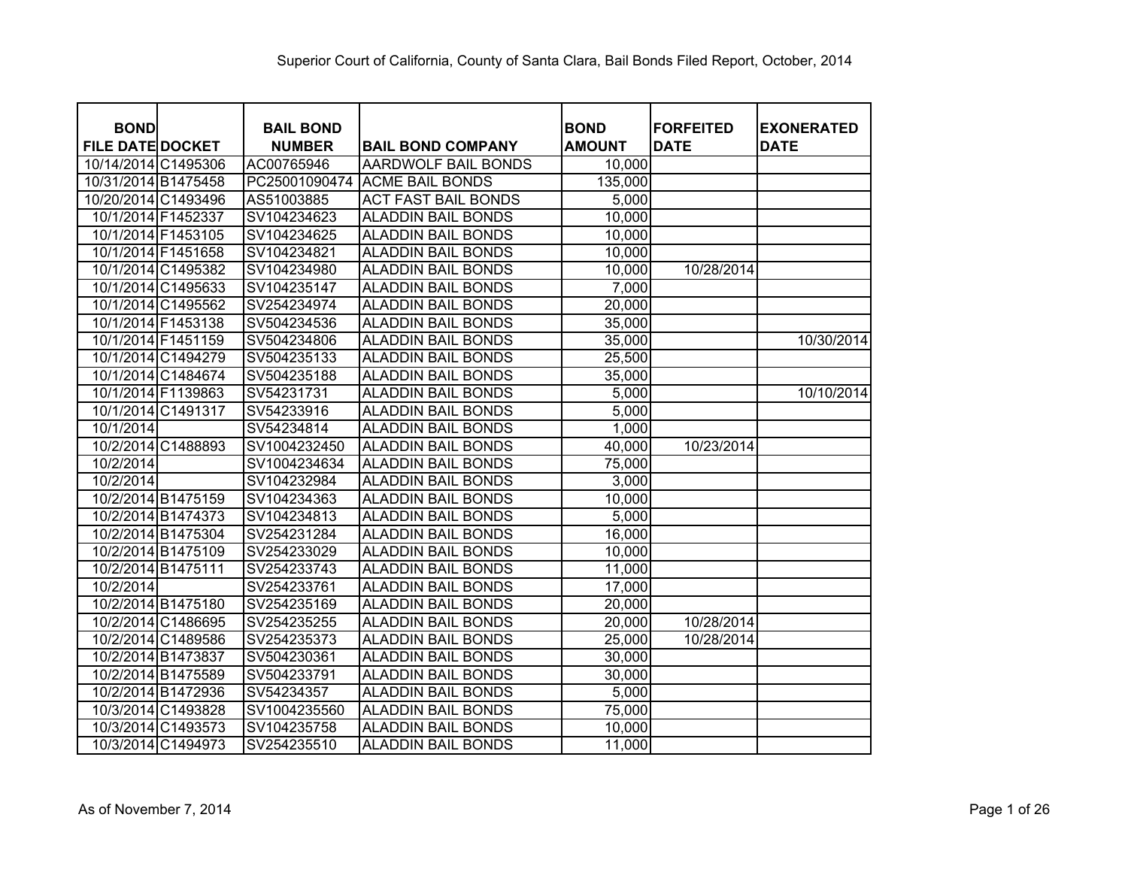| <b>BOND</b>             | <b>BAIL BOND</b> |                            | <b>BOND</b>   | <b>FORFEITED</b> | <b>EXONERATED</b> |
|-------------------------|------------------|----------------------------|---------------|------------------|-------------------|
| <b>FILE DATE DOCKET</b> | <b>NUMBER</b>    | <b>BAIL BOND COMPANY</b>   | <b>AMOUNT</b> | <b>DATE</b>      | <b>DATE</b>       |
| 10/14/2014 C1495306     | AC00765946       | AARDWOLF BAIL BONDS        | 10,000        |                  |                   |
| 10/31/2014 B1475458     | PC25001090474    | <b>ACME BAIL BONDS</b>     | 135,000       |                  |                   |
| 10/20/2014 C1493496     | AS51003885       | <b>ACT FAST BAIL BONDS</b> | 5,000         |                  |                   |
| 10/1/2014 F1452337      | SV104234623      | <b>ALADDIN BAIL BONDS</b>  | 10,000        |                  |                   |
| 10/1/2014 F1453105      | SV104234625      | <b>ALADDIN BAIL BONDS</b>  | 10,000        |                  |                   |
| 10/1/2014 F1451658      | SV104234821      | <b>ALADDIN BAIL BONDS</b>  | 10,000        |                  |                   |
| 10/1/2014 C1495382      | SV104234980      | <b>ALADDIN BAIL BONDS</b>  | 10,000        | 10/28/2014       |                   |
| 10/1/2014 C1495633      | SV104235147      | <b>ALADDIN BAIL BONDS</b>  | 7,000         |                  |                   |
| 10/1/2014 C1495562      | SV254234974      | <b>ALADDIN BAIL BONDS</b>  | 20,000        |                  |                   |
| 10/1/2014 F1453138      | SV504234536      | <b>ALADDIN BAIL BONDS</b>  | 35,000        |                  |                   |
| 10/1/2014 F1451159      | SV504234806      | <b>ALADDIN BAIL BONDS</b>  | 35,000        |                  | 10/30/2014        |
| 10/1/2014 C1494279      | SV504235133      | <b>ALADDIN BAIL BONDS</b>  | 25,500        |                  |                   |
| 10/1/2014 C1484674      | SV504235188      | <b>ALADDIN BAIL BONDS</b>  | 35,000        |                  |                   |
| 10/1/2014 F1139863      | SV54231731       | <b>ALADDIN BAIL BONDS</b>  | 5,000         |                  | 10/10/2014        |
| 10/1/2014 C1491317      | SV54233916       | <b>ALADDIN BAIL BONDS</b>  | 5,000         |                  |                   |
| 10/1/2014               | SV54234814       | <b>ALADDIN BAIL BONDS</b>  | 1,000         |                  |                   |
| 10/2/2014 C1488893      | SV1004232450     | <b>ALADDIN BAIL BONDS</b>  | 40,000        | 10/23/2014       |                   |
| 10/2/2014               | SV1004234634     | <b>ALADDIN BAIL BONDS</b>  | 75,000        |                  |                   |
| 10/2/2014               | SV104232984      | <b>ALADDIN BAIL BONDS</b>  | 3,000         |                  |                   |
| 10/2/2014 B1475159      | SV104234363      | <b>ALADDIN BAIL BONDS</b>  | 10,000        |                  |                   |
| 10/2/2014 B1474373      | SV104234813      | <b>ALADDIN BAIL BONDS</b>  | 5,000         |                  |                   |
| 10/2/2014 B1475304      | SV254231284      | <b>ALADDIN BAIL BONDS</b>  | 16,000        |                  |                   |
| 10/2/2014 B1475109      | SV254233029      | <b>ALADDIN BAIL BONDS</b>  | 10,000        |                  |                   |
| 10/2/2014 B1475111      | SV254233743      | <b>ALADDIN BAIL BONDS</b>  | 11,000        |                  |                   |
| 10/2/2014               | SV254233761      | <b>ALADDIN BAIL BONDS</b>  | 17,000        |                  |                   |
| 10/2/2014 B1475180      | SV254235169      | <b>ALADDIN BAIL BONDS</b>  | 20,000        |                  |                   |
| 10/2/2014 C1486695      | SV254235255      | <b>ALADDIN BAIL BONDS</b>  | 20,000        | 10/28/2014       |                   |
| 10/2/2014 C1489586      | SV254235373      | <b>ALADDIN BAIL BONDS</b>  | 25,000        | 10/28/2014       |                   |
| 10/2/2014 B1473837      | SV504230361      | <b>ALADDIN BAIL BONDS</b>  | 30,000        |                  |                   |
| 10/2/2014 B1475589      | SV504233791      | <b>ALADDIN BAIL BONDS</b>  | 30,000        |                  |                   |
| 10/2/2014 B1472936      | SV54234357       | <b>ALADDIN BAIL BONDS</b>  | 5,000         |                  |                   |
| 10/3/2014 C1493828      | SV1004235560     | <b>ALADDIN BAIL BONDS</b>  | 75,000        |                  |                   |
| 10/3/2014 C1493573      | SV104235758      | <b>ALADDIN BAIL BONDS</b>  | 10,000        |                  |                   |
| 10/3/2014 C1494973      | SV254235510      | <b>ALADDIN BAIL BONDS</b>  | 11,000        |                  |                   |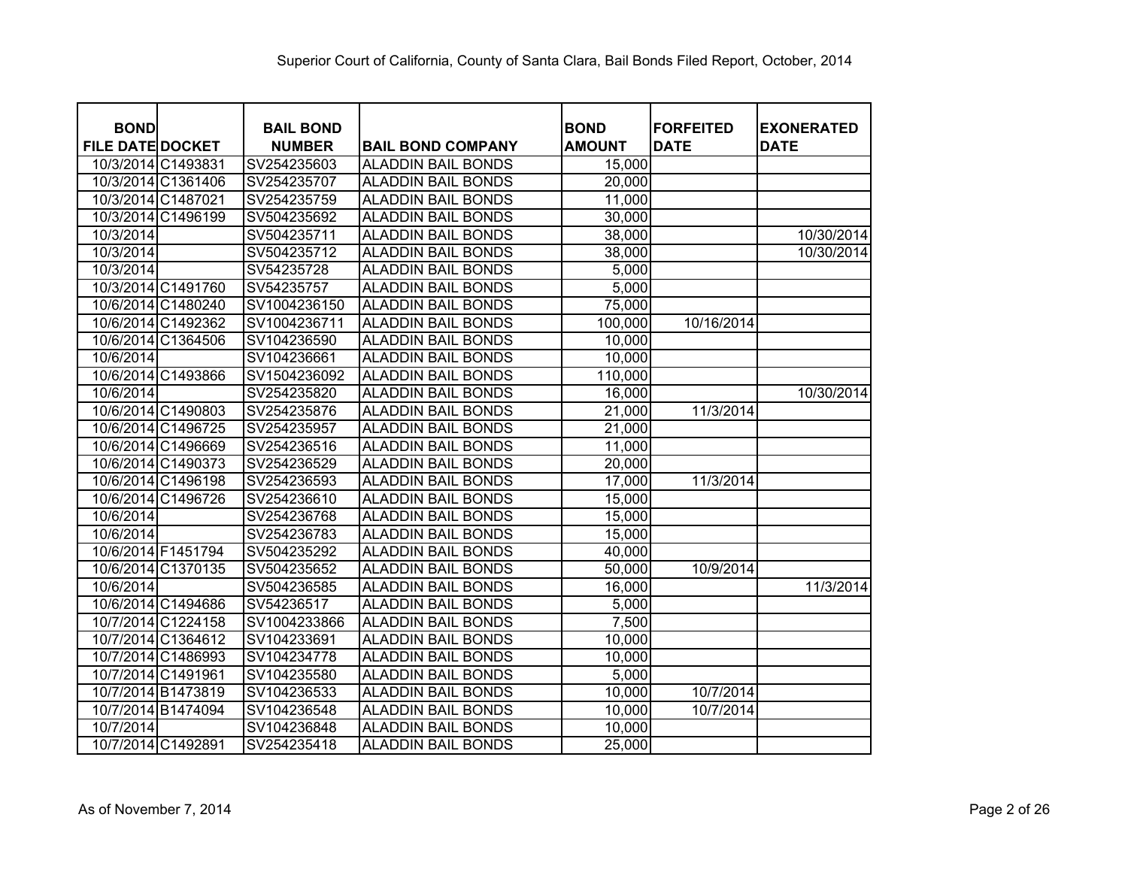| <b>BOND</b>             | <b>BAIL BOND</b> |                           | <b>BOND</b>   | <b>FORFEITED</b> | <b>EXONERATED</b> |
|-------------------------|------------------|---------------------------|---------------|------------------|-------------------|
| <b>FILE DATE DOCKET</b> | <b>NUMBER</b>    | <b>BAIL BOND COMPANY</b>  | <b>AMOUNT</b> | <b>DATE</b>      | <b>DATE</b>       |
| 10/3/2014 C1493831      | SV254235603      | <b>ALADDIN BAIL BONDS</b> | 15,000        |                  |                   |
| 10/3/2014 C1361406      | SV254235707      | <b>ALADDIN BAIL BONDS</b> | 20,000        |                  |                   |
| 10/3/2014 C1487021      | SV254235759      | <b>ALADDIN BAIL BONDS</b> | 11,000        |                  |                   |
| 10/3/2014 C1496199      | SV504235692      | <b>ALADDIN BAIL BONDS</b> | 30,000        |                  |                   |
| 10/3/2014               | SV504235711      | <b>ALADDIN BAIL BONDS</b> | 38,000        |                  | 10/30/2014        |
| 10/3/2014               | SV504235712      | <b>ALADDIN BAIL BONDS</b> | 38,000        |                  | 10/30/2014        |
| 10/3/2014               | SV54235728       | <b>ALADDIN BAIL BONDS</b> | 5,000         |                  |                   |
| 10/3/2014 C1491760      | SV54235757       | <b>ALADDIN BAIL BONDS</b> | 5,000         |                  |                   |
| 10/6/2014 C1480240      | SV1004236150     | <b>ALADDIN BAIL BONDS</b> | 75,000        |                  |                   |
| 10/6/2014 C1492362      | SV1004236711     | <b>ALADDIN BAIL BONDS</b> | 100,000       | 10/16/2014       |                   |
| 10/6/2014 C1364506      | SV104236590      | <b>ALADDIN BAIL BONDS</b> | 10,000        |                  |                   |
| 10/6/2014               | SV104236661      | <b>ALADDIN BAIL BONDS</b> | 10,000        |                  |                   |
| 10/6/2014 C1493866      | SV1504236092     | <b>ALADDIN BAIL BONDS</b> | 110,000       |                  |                   |
| 10/6/2014               | SV254235820      | <b>ALADDIN BAIL BONDS</b> | 16,000        |                  | 10/30/2014        |
| 10/6/2014 C1490803      | SV254235876      | <b>ALADDIN BAIL BONDS</b> | 21,000        | 11/3/2014        |                   |
| 10/6/2014 C1496725      | SV254235957      | <b>ALADDIN BAIL BONDS</b> | 21,000        |                  |                   |
| 10/6/2014 C1496669      | SV254236516      | <b>ALADDIN BAIL BONDS</b> | 11,000        |                  |                   |
| 10/6/2014 C1490373      | SV254236529      | <b>ALADDIN BAIL BONDS</b> | 20,000        |                  |                   |
| 10/6/2014 C1496198      | SV254236593      | <b>ALADDIN BAIL BONDS</b> | 17,000        | 11/3/2014        |                   |
| 10/6/2014 C1496726      | SV254236610      | <b>ALADDIN BAIL BONDS</b> | 15,000        |                  |                   |
| 10/6/2014               | SV254236768      | <b>ALADDIN BAIL BONDS</b> | 15,000        |                  |                   |
| 10/6/2014               | SV254236783      | <b>ALADDIN BAIL BONDS</b> | 15,000        |                  |                   |
| 10/6/2014 F1451794      | SV504235292      | <b>ALADDIN BAIL BONDS</b> | 40,000        |                  |                   |
| 10/6/2014 C1370135      | SV504235652      | <b>ALADDIN BAIL BONDS</b> | 50,000        | 10/9/2014        |                   |
| 10/6/2014               | SV504236585      | <b>ALADDIN BAIL BONDS</b> | 16,000        |                  | 11/3/2014         |
| 10/6/2014 C1494686      | SV54236517       | <b>ALADDIN BAIL BONDS</b> | 5,000         |                  |                   |
| 10/7/2014 C1224158      | SV1004233866     | <b>ALADDIN BAIL BONDS</b> | 7,500         |                  |                   |
| 10/7/2014 C1364612      | SV104233691      | <b>ALADDIN BAIL BONDS</b> | 10,000        |                  |                   |
| 10/7/2014 C1486993      | SV104234778      | <b>ALADDIN BAIL BONDS</b> | 10,000        |                  |                   |
| 10/7/2014 C1491961      | SV104235580      | <b>ALADDIN BAIL BONDS</b> | 5,000         |                  |                   |
| 10/7/2014 B1473819      | SV104236533      | <b>ALADDIN BAIL BONDS</b> | 10,000        | 10/7/2014        |                   |
| 10/7/2014 B1474094      | SV104236548      | <b>ALADDIN BAIL BONDS</b> | 10,000        | 10/7/2014        |                   |
| 10/7/2014               | SV104236848      | <b>ALADDIN BAIL BONDS</b> | 10,000        |                  |                   |
| 10/7/2014 C1492891      | SV254235418      | <b>ALADDIN BAIL BONDS</b> | 25,000        |                  |                   |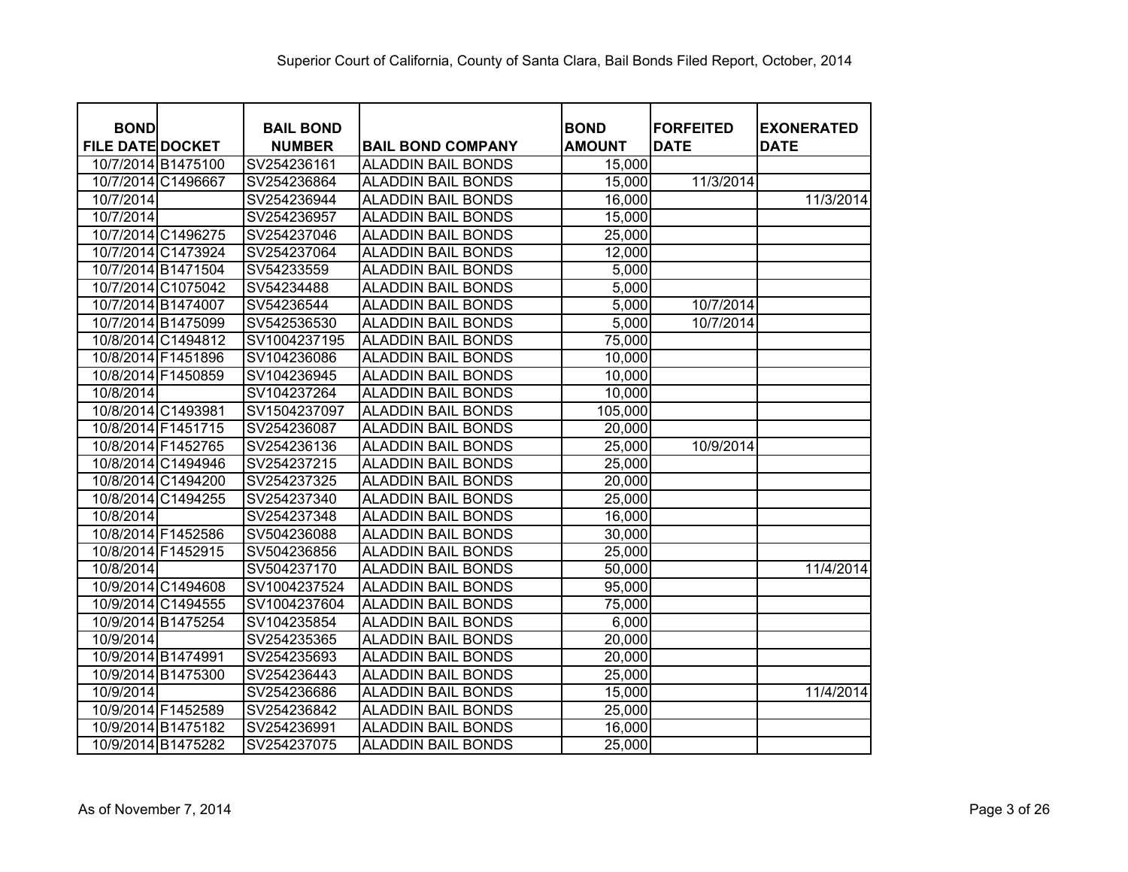| <b>BOND</b>             |                    | <b>BAIL BOND</b> |                           | <b>BOND</b>   | <b>FORFEITED</b> | <b>EXONERATED</b> |
|-------------------------|--------------------|------------------|---------------------------|---------------|------------------|-------------------|
| <b>FILE DATE DOCKET</b> |                    | <b>NUMBER</b>    | <b>BAIL BOND COMPANY</b>  | <b>AMOUNT</b> | <b>DATE</b>      | <b>DATE</b>       |
|                         | 10/7/2014 B1475100 | SV254236161      | <b>ALADDIN BAIL BONDS</b> | 15,000        |                  |                   |
| 10/7/2014 C1496667      |                    | SV254236864      | <b>ALADDIN BAIL BONDS</b> | 15,000        | 11/3/2014        |                   |
| 10/7/2014               |                    | SV254236944      | <b>ALADDIN BAIL BONDS</b> | 16,000        |                  | 11/3/2014         |
| 10/7/2014               |                    | SV254236957      | <b>ALADDIN BAIL BONDS</b> | 15,000        |                  |                   |
|                         | 10/7/2014 C1496275 | SV254237046      | <b>ALADDIN BAIL BONDS</b> | 25,000        |                  |                   |
|                         | 10/7/2014 C1473924 | SV254237064      | <b>ALADDIN BAIL BONDS</b> | 12,000        |                  |                   |
|                         | 10/7/2014 B1471504 | SV54233559       | <b>ALADDIN BAIL BONDS</b> | 5,000         |                  |                   |
|                         | 10/7/2014 C1075042 | SV54234488       | <b>ALADDIN BAIL BONDS</b> | 5,000         |                  |                   |
| 10/7/2014 B1474007      |                    | SV54236544       | <b>ALADDIN BAIL BONDS</b> | 5,000         | 10/7/2014        |                   |
| 10/7/2014 B1475099      |                    | SV542536530      | <b>ALADDIN BAIL BONDS</b> | 5,000         | 10/7/2014        |                   |
|                         | 10/8/2014 C1494812 | SV1004237195     | <b>ALADDIN BAIL BONDS</b> | 75,000        |                  |                   |
| 10/8/2014 F1451896      |                    | SV104236086      | <b>ALADDIN BAIL BONDS</b> | 10,000        |                  |                   |
|                         | 10/8/2014 F1450859 | SV104236945      | <b>ALADDIN BAIL BONDS</b> | 10,000        |                  |                   |
| 10/8/2014               |                    | SV104237264      | <b>ALADDIN BAIL BONDS</b> | 10,000        |                  |                   |
|                         | 10/8/2014 C1493981 | SV1504237097     | <b>ALADDIN BAIL BONDS</b> | 105,000       |                  |                   |
| 10/8/2014 F1451715      |                    | SV254236087      | <b>ALADDIN BAIL BONDS</b> | 20,000        |                  |                   |
|                         | 10/8/2014 F1452765 | SV254236136      | <b>ALADDIN BAIL BONDS</b> | 25,000        | 10/9/2014        |                   |
|                         | 10/8/2014 C1494946 | SV254237215      | <b>ALADDIN BAIL BONDS</b> | 25,000        |                  |                   |
|                         | 10/8/2014 C1494200 | SV254237325      | <b>ALADDIN BAIL BONDS</b> | 20,000        |                  |                   |
|                         | 10/8/2014 C1494255 | SV254237340      | <b>ALADDIN BAIL BONDS</b> | 25,000        |                  |                   |
| 10/8/2014               |                    | SV254237348      | <b>ALADDIN BAIL BONDS</b> | 16,000        |                  |                   |
|                         | 10/8/2014 F1452586 | SV504236088      | <b>ALADDIN BAIL BONDS</b> | 30,000        |                  |                   |
|                         | 10/8/2014 F1452915 | SV504236856      | <b>ALADDIN BAIL BONDS</b> | 25,000        |                  |                   |
| 10/8/2014               |                    | SV504237170      | <b>ALADDIN BAIL BONDS</b> | 50,000        |                  | 11/4/2014         |
|                         | 10/9/2014 C1494608 | SV1004237524     | <b>ALADDIN BAIL BONDS</b> | 95,000        |                  |                   |
|                         | 10/9/2014 C1494555 | SV1004237604     | <b>ALADDIN BAIL BONDS</b> | 75,000        |                  |                   |
|                         | 10/9/2014 B1475254 | SV104235854      | <b>ALADDIN BAIL BONDS</b> | 6,000         |                  |                   |
| 10/9/2014               |                    | SV254235365      | <b>ALADDIN BAIL BONDS</b> | 20,000        |                  |                   |
| 10/9/2014 B1474991      |                    | SV254235693      | <b>ALADDIN BAIL BONDS</b> | 20,000        |                  |                   |
| 10/9/2014 B1475300      |                    | SV254236443      | <b>ALADDIN BAIL BONDS</b> | 25,000        |                  |                   |
| 10/9/2014               |                    | SV254236686      | <b>ALADDIN BAIL BONDS</b> | 15,000        |                  | 11/4/2014         |
|                         | 10/9/2014 F1452589 | SV254236842      | <b>ALADDIN BAIL BONDS</b> | 25,000        |                  |                   |
|                         | 10/9/2014 B1475182 | SV254236991      | <b>ALADDIN BAIL BONDS</b> | 16,000        |                  |                   |
|                         | 10/9/2014 B1475282 | SV254237075      | <b>ALADDIN BAIL BONDS</b> | 25,000        |                  |                   |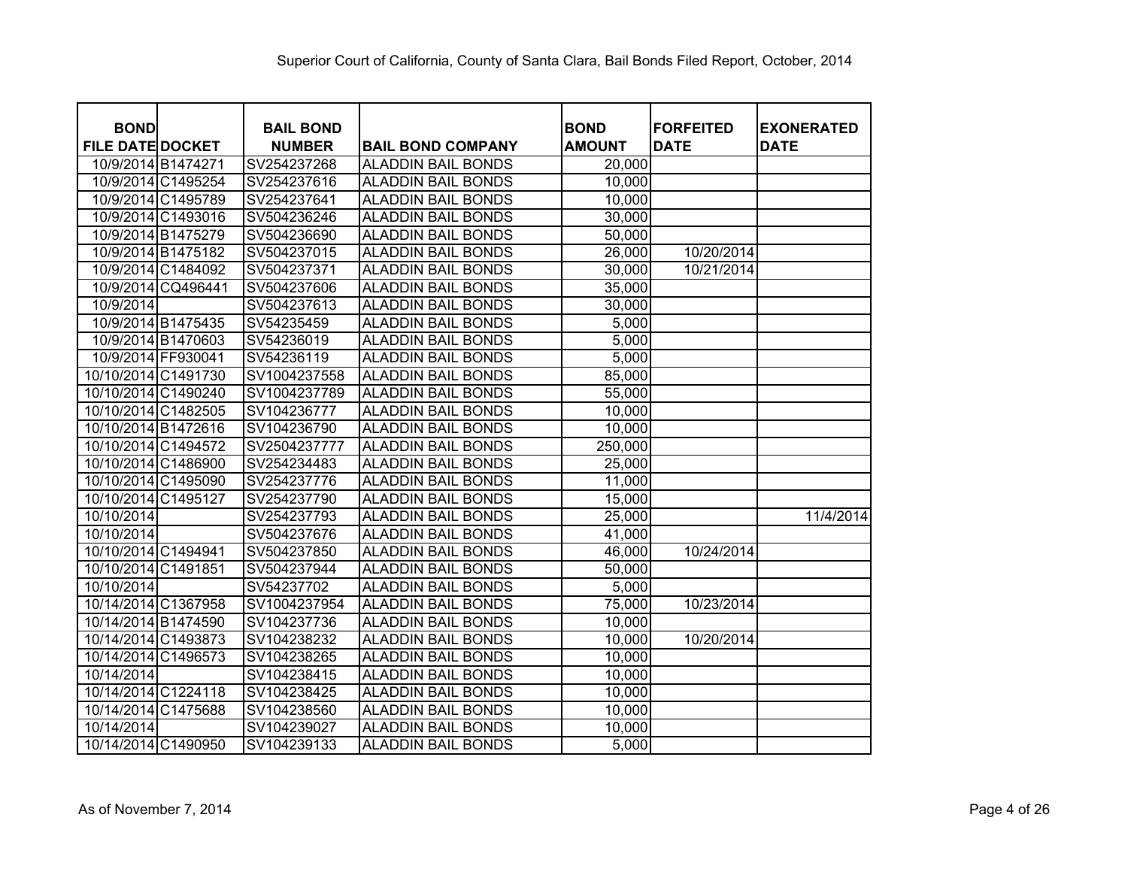| <b>BOND</b>             |                    | <b>BAIL BOND</b> |                           | <b>BOND</b>   | <b>FORFEITED</b> | <b>EXONERATED</b> |
|-------------------------|--------------------|------------------|---------------------------|---------------|------------------|-------------------|
| <b>FILE DATE DOCKET</b> |                    | <b>NUMBER</b>    | <b>BAIL BOND COMPANY</b>  | <b>AMOUNT</b> | <b>DATE</b>      | <b>DATE</b>       |
|                         | 10/9/2014 B1474271 | SV254237268      | <b>ALADDIN BAIL BONDS</b> | 20,000        |                  |                   |
|                         | 10/9/2014 C1495254 | SV254237616      | <b>ALADDIN BAIL BONDS</b> | 10,000        |                  |                   |
|                         | 10/9/2014 C1495789 | SV254237641      | <b>ALADDIN BAIL BONDS</b> | 10,000        |                  |                   |
|                         | 10/9/2014 C1493016 | SV504236246      | <b>ALADDIN BAIL BONDS</b> | 30,000        |                  |                   |
|                         | 10/9/2014 B1475279 | SV504236690      | <b>ALADDIN BAIL BONDS</b> | 50,000        |                  |                   |
|                         | 10/9/2014 B1475182 | SV504237015      | <b>ALADDIN BAIL BONDS</b> | 26,000        | 10/20/2014       |                   |
|                         | 10/9/2014 C1484092 | SV504237371      | <b>ALADDIN BAIL BONDS</b> | 30,000        | 10/21/2014       |                   |
|                         | 10/9/2014 CQ496441 | SV504237606      | <b>ALADDIN BAIL BONDS</b> | 35,000        |                  |                   |
| 10/9/2014               |                    | SV504237613      | <b>ALADDIN BAIL BONDS</b> | 30,000        |                  |                   |
|                         | 10/9/2014 B1475435 | SV54235459       | <b>ALADDIN BAIL BONDS</b> | 5,000         |                  |                   |
|                         | 10/9/2014 B1470603 | SV54236019       | <b>ALADDIN BAIL BONDS</b> | 5,000         |                  |                   |
|                         | 10/9/2014 FF930041 | SV54236119       | <b>ALADDIN BAIL BONDS</b> | 5,000         |                  |                   |
| 10/10/2014 C1491730     |                    | SV1004237558     | <b>ALADDIN BAIL BONDS</b> | 85,000        |                  |                   |
| 10/10/2014 C1490240     |                    | SV1004237789     | <b>ALADDIN BAIL BONDS</b> | 55,000        |                  |                   |
| 10/10/2014 C1482505     |                    | SV104236777      | ALADDIN BAIL BONDS        | 10,000        |                  |                   |
| 10/10/2014 B1472616     |                    | SV104236790      | <b>ALADDIN BAIL BONDS</b> | 10,000        |                  |                   |
| 10/10/2014 C1494572     |                    | SV2504237777     | <b>ALADDIN BAIL BONDS</b> | 250,000       |                  |                   |
| 10/10/2014 C1486900     |                    | SV254234483      | <b>ALADDIN BAIL BONDS</b> | 25,000        |                  |                   |
| 10/10/2014 C1495090     |                    | SV254237776      | <b>ALADDIN BAIL BONDS</b> | 11,000        |                  |                   |
| 10/10/2014 C1495127     |                    | SV254237790      | <b>ALADDIN BAIL BONDS</b> | 15,000        |                  |                   |
| 10/10/2014              |                    | SV254237793      | <b>ALADDIN BAIL BONDS</b> | 25,000        |                  | 11/4/2014         |
| 10/10/2014              |                    | SV504237676      | <b>ALADDIN BAIL BONDS</b> | 41,000        |                  |                   |
| 10/10/2014 C1494941     |                    | SV504237850      | <b>ALADDIN BAIL BONDS</b> | 46,000        | 10/24/2014       |                   |
| 10/10/2014 C1491851     |                    | SV504237944      | <b>ALADDIN BAIL BONDS</b> | 50,000        |                  |                   |
| 10/10/2014              |                    | SV54237702       | <b>ALADDIN BAIL BONDS</b> | 5,000         |                  |                   |
| 10/14/2014 C1367958     |                    | SV1004237954     | <b>ALADDIN BAIL BONDS</b> | 75,000        | 10/23/2014       |                   |
| 10/14/2014 B1474590     |                    | SV104237736      | <b>ALADDIN BAIL BONDS</b> | 10,000        |                  |                   |
| 10/14/2014 C1493873     |                    | SV104238232      | <b>ALADDIN BAIL BONDS</b> | 10,000        | 10/20/2014       |                   |
| 10/14/2014 C1496573     |                    | SV104238265      | <b>ALADDIN BAIL BONDS</b> | 10,000        |                  |                   |
| 10/14/2014              |                    | SV104238415      | <b>ALADDIN BAIL BONDS</b> | 10,000        |                  |                   |
| 10/14/2014 C1224118     |                    | SV104238425      | <b>ALADDIN BAIL BONDS</b> | 10,000        |                  |                   |
| 10/14/2014 C1475688     |                    | SV104238560      | <b>ALADDIN BAIL BONDS</b> | 10,000        |                  |                   |
| 10/14/2014              |                    | SV104239027      | <b>ALADDIN BAIL BONDS</b> | 10,000        |                  |                   |
| 10/14/2014 C1490950     |                    | SV104239133      | <b>ALADDIN BAIL BONDS</b> | 5,000         |                  |                   |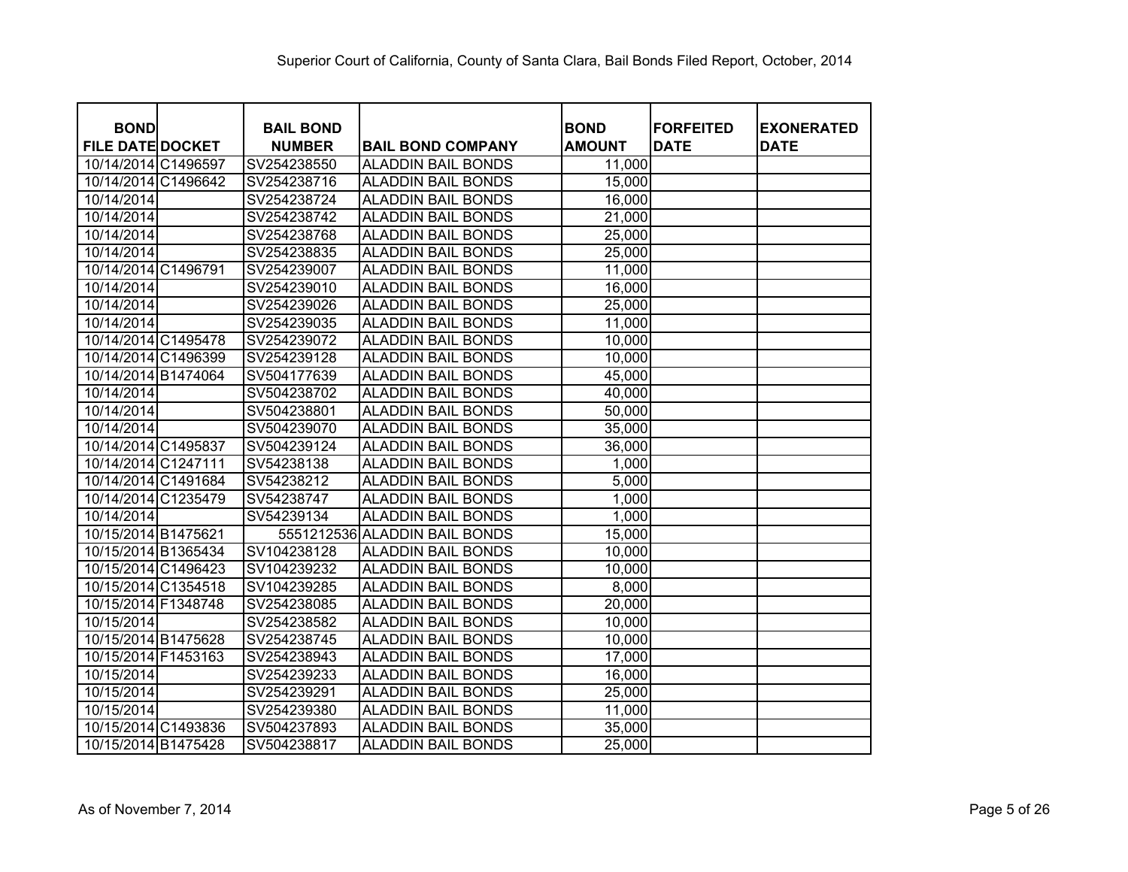|                                        |                                   |                               |                              | <b>FORFEITED</b> |                                  |
|----------------------------------------|-----------------------------------|-------------------------------|------------------------------|------------------|----------------------------------|
| <b>BOND</b><br><b>FILE DATE DOCKET</b> | <b>BAIL BOND</b><br><b>NUMBER</b> | <b>BAIL BOND COMPANY</b>      | <b>BOND</b><br><b>AMOUNT</b> | <b>DATE</b>      | <b>EXONERATED</b><br><b>DATE</b> |
| 10/14/2014 C1496597                    | SV254238550                       | <b>ALADDIN BAIL BONDS</b>     | 11,000                       |                  |                                  |
| 10/14/2014 C1496642                    | SV254238716                       | <b>ALADDIN BAIL BONDS</b>     | 15,000                       |                  |                                  |
| 10/14/2014                             | SV254238724                       | <b>ALADDIN BAIL BONDS</b>     | 16,000                       |                  |                                  |
| 10/14/2014                             | SV254238742                       | <b>ALADDIN BAIL BONDS</b>     | 21,000                       |                  |                                  |
| 10/14/2014                             | SV254238768                       | <b>ALADDIN BAIL BONDS</b>     | 25,000                       |                  |                                  |
| 10/14/2014                             | SV254238835                       | <b>ALADDIN BAIL BONDS</b>     | 25,000                       |                  |                                  |
| 10/14/2014 C1496791                    | SV254239007                       | <b>ALADDIN BAIL BONDS</b>     | 11,000                       |                  |                                  |
| 10/14/2014                             | SV254239010                       | <b>ALADDIN BAIL BONDS</b>     | 16,000                       |                  |                                  |
| 10/14/2014                             | SV254239026                       | <b>ALADDIN BAIL BONDS</b>     | 25,000                       |                  |                                  |
| 10/14/2014                             | SV254239035                       | <b>ALADDIN BAIL BONDS</b>     | 11,000                       |                  |                                  |
| 10/14/2014 C1495478                    | SV254239072                       | <b>ALADDIN BAIL BONDS</b>     | 10,000                       |                  |                                  |
| 10/14/2014 C1496399                    | SV254239128                       | <b>ALADDIN BAIL BONDS</b>     | 10,000                       |                  |                                  |
| 10/14/2014 B1474064                    | SV504177639                       | <b>ALADDIN BAIL BONDS</b>     | 45,000                       |                  |                                  |
| 10/14/2014                             | SV504238702                       | <b>ALADDIN BAIL BONDS</b>     | 40,000                       |                  |                                  |
| 10/14/2014                             | SV504238801                       | <b>ALADDIN BAIL BONDS</b>     | 50,000                       |                  |                                  |
| 10/14/2014                             | SV504239070                       | <b>ALADDIN BAIL BONDS</b>     | 35,000                       |                  |                                  |
| 10/14/2014 C1495837                    | SV504239124                       | <b>ALADDIN BAIL BONDS</b>     | 36,000                       |                  |                                  |
| 10/14/2014 C1247111                    | SV54238138                        | <b>ALADDIN BAIL BONDS</b>     | 1,000                        |                  |                                  |
| 10/14/2014 C1491684                    | SV54238212                        | <b>ALADDIN BAIL BONDS</b>     | 5,000                        |                  |                                  |
| 10/14/2014 C1235479                    | SV54238747                        | <b>ALADDIN BAIL BONDS</b>     | 1,000                        |                  |                                  |
| 10/14/2014                             | SV54239134                        | <b>ALADDIN BAIL BONDS</b>     | 1,000                        |                  |                                  |
| 10/15/2014 B1475621                    |                                   | 5551212536 ALADDIN BAIL BONDS | 15,000                       |                  |                                  |
| 10/15/2014 B1365434                    | SV104238128                       | <b>ALADDIN BAIL BONDS</b>     | 10,000                       |                  |                                  |
| 10/15/2014 C1496423                    | SV104239232                       | <b>ALADDIN BAIL BONDS</b>     | 10,000                       |                  |                                  |
| 10/15/2014 C1354518                    | SV104239285                       | <b>ALADDIN BAIL BONDS</b>     | 8,000                        |                  |                                  |
| 10/15/2014 F1348748                    | SV254238085                       | <b>ALADDIN BAIL BONDS</b>     | 20,000                       |                  |                                  |
| 10/15/2014                             | SV254238582                       | <b>ALADDIN BAIL BONDS</b>     | 10,000                       |                  |                                  |
| 10/15/2014 B1475628                    | SV254238745                       | <b>ALADDIN BAIL BONDS</b>     | 10,000                       |                  |                                  |
| 10/15/2014 F1453163                    | SV254238943                       | <b>ALADDIN BAIL BONDS</b>     | 17,000                       |                  |                                  |
| 10/15/2014                             | SV254239233                       | <b>ALADDIN BAIL BONDS</b>     | 16,000                       |                  |                                  |
| 10/15/2014                             | SV254239291                       | <b>ALADDIN BAIL BONDS</b>     | 25,000                       |                  |                                  |
| 10/15/2014                             | SV254239380                       | <b>ALADDIN BAIL BONDS</b>     | 11,000                       |                  |                                  |
| 10/15/2014 C1493836                    | SV504237893                       | <b>ALADDIN BAIL BONDS</b>     | 35,000                       |                  |                                  |
| 10/15/2014 B1475428                    | SV504238817                       | <b>ALADDIN BAIL BONDS</b>     | 25,000                       |                  |                                  |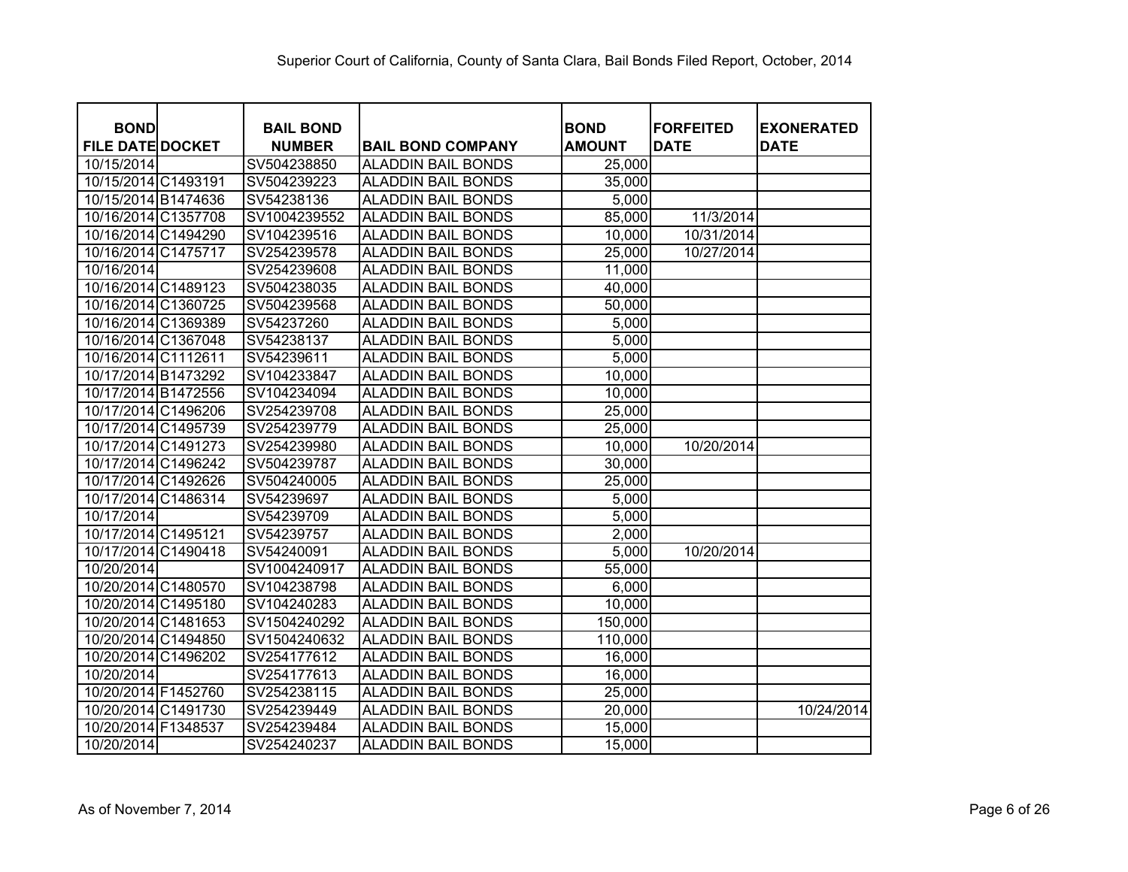| <b>BOND</b>             | <b>BAIL BOND</b> |                           | <b>BOND</b>   | <b>FORFEITED</b> | <b>EXONERATED</b> |
|-------------------------|------------------|---------------------------|---------------|------------------|-------------------|
| <b>FILE DATE DOCKET</b> | <b>NUMBER</b>    | <b>BAIL BOND COMPANY</b>  | <b>AMOUNT</b> | <b>DATE</b>      | <b>DATE</b>       |
| 10/15/2014              | SV504238850      | <b>ALADDIN BAIL BONDS</b> | 25,000        |                  |                   |
| 10/15/2014 C1493191     | SV504239223      | <b>ALADDIN BAIL BONDS</b> | 35,000        |                  |                   |
| 10/15/2014 B1474636     | SV54238136       | <b>ALADDIN BAIL BONDS</b> | 5,000         |                  |                   |
| 10/16/2014 C1357708     | SV1004239552     | <b>ALADDIN BAIL BONDS</b> | 85,000        | 11/3/2014        |                   |
| 10/16/2014 C1494290     | SV104239516      | <b>ALADDIN BAIL BONDS</b> | 10,000        | 10/31/2014       |                   |
| 10/16/2014 C1475717     | SV254239578      | <b>ALADDIN BAIL BONDS</b> | 25,000        | 10/27/2014       |                   |
| 10/16/2014              | SV254239608      | <b>ALADDIN BAIL BONDS</b> | 11,000        |                  |                   |
| 10/16/2014 C1489123     | SV504238035      | <b>ALADDIN BAIL BONDS</b> | 40,000        |                  |                   |
| 10/16/2014 C1360725     | SV504239568      | <b>ALADDIN BAIL BONDS</b> | 50,000        |                  |                   |
| 10/16/2014 C1369389     | SV54237260       | <b>ALADDIN BAIL BONDS</b> | 5,000         |                  |                   |
| 10/16/2014 C1367048     | SV54238137       | <b>ALADDIN BAIL BONDS</b> | 5,000         |                  |                   |
| 10/16/2014 C1112611     | SV54239611       | <b>ALADDIN BAIL BONDS</b> | 5,000         |                  |                   |
| 10/17/2014 B1473292     | SV104233847      | <b>ALADDIN BAIL BONDS</b> | 10,000        |                  |                   |
| 10/17/2014 B1472556     | SV104234094      | <b>ALADDIN BAIL BONDS</b> | 10,000        |                  |                   |
| 10/17/2014 C1496206     | SV254239708      | <b>ALADDIN BAIL BONDS</b> | 25,000        |                  |                   |
| 10/17/2014 C1495739     | SV254239779      | <b>ALADDIN BAIL BONDS</b> | 25,000        |                  |                   |
| 10/17/2014 C1491273     | SV254239980      | <b>ALADDIN BAIL BONDS</b> | 10,000        | 10/20/2014       |                   |
| 10/17/2014 C1496242     | SV504239787      | <b>ALADDIN BAIL BONDS</b> | 30,000        |                  |                   |
| 10/17/2014 C1492626     | SV504240005      | <b>ALADDIN BAIL BONDS</b> | 25,000        |                  |                   |
| 10/17/2014 C1486314     | SV54239697       | <b>ALADDIN BAIL BONDS</b> | 5,000         |                  |                   |
| 10/17/2014              | SV54239709       | <b>ALADDIN BAIL BONDS</b> | 5,000         |                  |                   |
| 10/17/2014 C1495121     | SV54239757       | <b>ALADDIN BAIL BONDS</b> | 2,000         |                  |                   |
| 10/17/2014 C1490418     | SV54240091       | <b>ALADDIN BAIL BONDS</b> | 5,000         | 10/20/2014       |                   |
| 10/20/2014              | SV1004240917     | <b>ALADDIN BAIL BONDS</b> | 55,000        |                  |                   |
| 10/20/2014 C1480570     | SV104238798      | <b>ALADDIN BAIL BONDS</b> | 6,000         |                  |                   |
| 10/20/2014 C1495180     | SV104240283      | <b>ALADDIN BAIL BONDS</b> | 10,000        |                  |                   |
| 10/20/2014 C1481653     | SV1504240292     | <b>ALADDIN BAIL BONDS</b> | 150,000       |                  |                   |
| 10/20/2014 C1494850     | SV1504240632     | <b>ALADDIN BAIL BONDS</b> | 110,000       |                  |                   |
| 10/20/2014 C1496202     | SV254177612      | <b>ALADDIN BAIL BONDS</b> | 16,000        |                  |                   |
| 10/20/2014              | SV254177613      | <b>ALADDIN BAIL BONDS</b> | 16,000        |                  |                   |
| 10/20/2014 F1452760     | SV254238115      | <b>ALADDIN BAIL BONDS</b> | 25,000        |                  |                   |
| 10/20/2014 C1491730     | SV254239449      | <b>ALADDIN BAIL BONDS</b> | 20,000        |                  | 10/24/2014        |
| 10/20/2014 F1348537     | SV254239484      | <b>ALADDIN BAIL BONDS</b> | 15,000        |                  |                   |
| 10/20/2014              | SV254240237      | <b>ALADDIN BAIL BONDS</b> | 15,000        |                  |                   |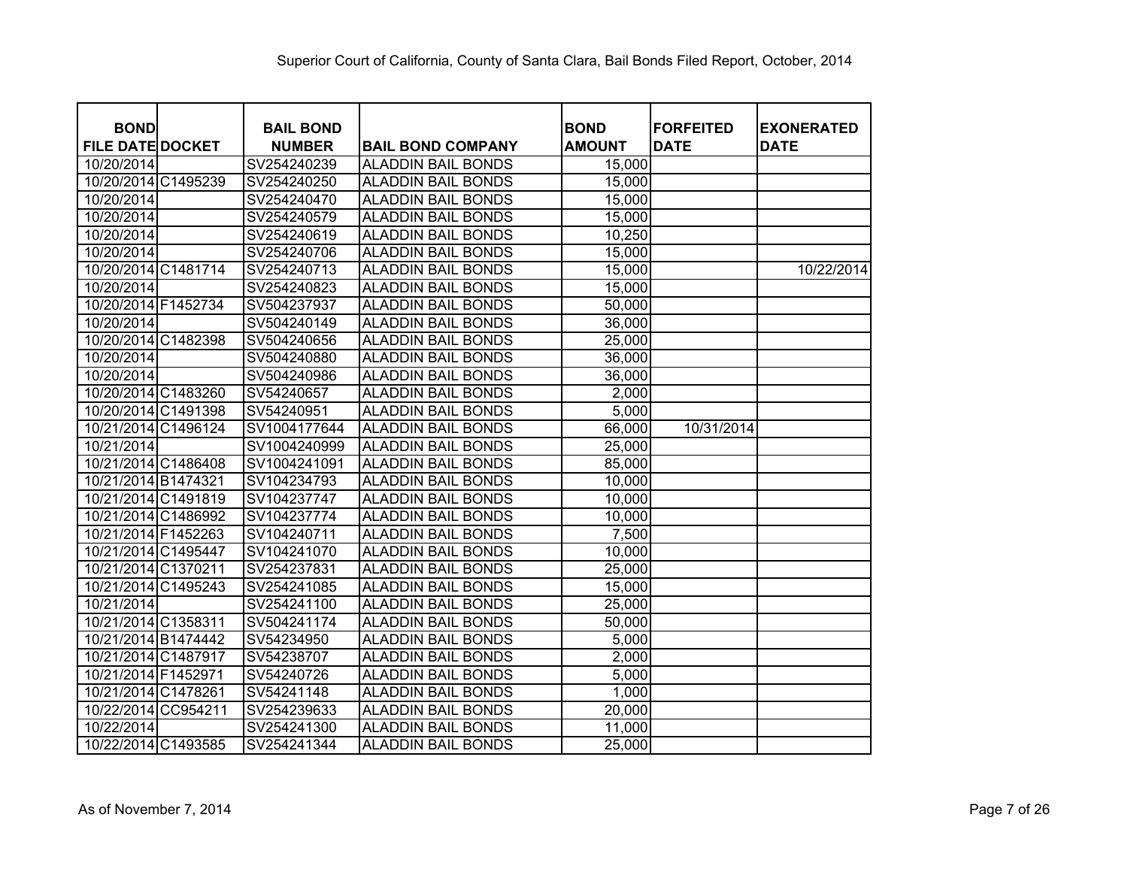| <b>BOND</b>             | <b>BAIL BOND</b> |                           | <b>BOND</b>   | <b>FORFEITED</b> | <b>EXONERATED</b> |
|-------------------------|------------------|---------------------------|---------------|------------------|-------------------|
| <b>FILE DATE DOCKET</b> | <b>NUMBER</b>    | <b>BAIL BOND COMPANY</b>  | <b>AMOUNT</b> | <b>DATE</b>      | <b>DATE</b>       |
| 10/20/2014              | SV254240239      | <b>ALADDIN BAIL BONDS</b> | 15,000        |                  |                   |
| 10/20/2014 C1495239     | SV254240250      | <b>ALADDIN BAIL BONDS</b> | 15,000        |                  |                   |
| 10/20/2014              | SV254240470      | <b>ALADDIN BAIL BONDS</b> | 15,000        |                  |                   |
| 10/20/2014              | SV254240579      | <b>ALADDIN BAIL BONDS</b> | 15,000        |                  |                   |
| 10/20/2014              | SV254240619      | <b>ALADDIN BAIL BONDS</b> | 10,250        |                  |                   |
| 10/20/2014              | SV254240706      | <b>ALADDIN BAIL BONDS</b> | 15,000        |                  |                   |
| 10/20/2014 C1481714     | SV254240713      | <b>ALADDIN BAIL BONDS</b> | 15,000        |                  | 10/22/2014        |
| 10/20/2014              | SV254240823      | <b>ALADDIN BAIL BONDS</b> | 15,000        |                  |                   |
| 10/20/2014 F1452734     | SV504237937      | <b>ALADDIN BAIL BONDS</b> | 50,000        |                  |                   |
| 10/20/2014              | SV504240149      | <b>ALADDIN BAIL BONDS</b> | 36,000        |                  |                   |
| 10/20/2014 C1482398     | SV504240656      | <b>ALADDIN BAIL BONDS</b> | 25,000        |                  |                   |
| 10/20/2014              | SV504240880      | <b>ALADDIN BAIL BONDS</b> | 36,000        |                  |                   |
| 10/20/2014              | SV504240986      | <b>ALADDIN BAIL BONDS</b> | 36,000        |                  |                   |
| 10/20/2014 C1483260     | SV54240657       | <b>ALADDIN BAIL BONDS</b> | 2,000         |                  |                   |
| 10/20/2014 C1491398     | SV54240951       | <b>ALADDIN BAIL BONDS</b> | 5,000         |                  |                   |
| 10/21/2014 C1496124     | SV1004177644     | <b>ALADDIN BAIL BONDS</b> | 66,000        | 10/31/2014       |                   |
| 10/21/2014              | SV1004240999     | <b>ALADDIN BAIL BONDS</b> | 25,000        |                  |                   |
| 10/21/2014 C1486408     | SV1004241091     | <b>ALADDIN BAIL BONDS</b> | 85,000        |                  |                   |
| 10/21/2014 B1474321     | SV104234793      | <b>ALADDIN BAIL BONDS</b> | 10,000        |                  |                   |
| 10/21/2014 C1491819     | SV104237747      | <b>ALADDIN BAIL BONDS</b> | 10,000        |                  |                   |
| 10/21/2014 C1486992     | SV104237774      | <b>ALADDIN BAIL BONDS</b> | 10,000        |                  |                   |
| 10/21/2014 F1452263     | SV104240711      | <b>ALADDIN BAIL BONDS</b> | 7,500         |                  |                   |
| 10/21/2014 C1495447     | SV104241070      | <b>ALADDIN BAIL BONDS</b> | 10,000        |                  |                   |
| 10/21/2014 C1370211     | SV254237831      | <b>ALADDIN BAIL BONDS</b> | 25,000        |                  |                   |
| 10/21/2014 C1495243     | SV254241085      | <b>ALADDIN BAIL BONDS</b> | 15,000        |                  |                   |
| 10/21/2014              | SV254241100      | <b>ALADDIN BAIL BONDS</b> | 25,000        |                  |                   |
| 10/21/2014 C1358311     | SV504241174      | <b>ALADDIN BAIL BONDS</b> | 50,000        |                  |                   |
| 10/21/2014 B1474442     | SV54234950       | <b>ALADDIN BAIL BONDS</b> | 5,000         |                  |                   |
| 10/21/2014 C1487917     | SV54238707       | <b>ALADDIN BAIL BONDS</b> | 2,000         |                  |                   |
| 10/21/2014 F1452971     | SV54240726       | <b>ALADDIN BAIL BONDS</b> | 5,000         |                  |                   |
| 10/21/2014 C1478261     | SV54241148       | <b>ALADDIN BAIL BONDS</b> | 1,000         |                  |                   |
| 10/22/2014 CC954211     | SV254239633      | <b>ALADDIN BAIL BONDS</b> | 20,000        |                  |                   |
| 10/22/2014              | SV254241300      | <b>ALADDIN BAIL BONDS</b> | 11,000        |                  |                   |
| 10/22/2014 C1493585     | SV254241344      | <b>ALADDIN BAIL BONDS</b> | 25,000        |                  |                   |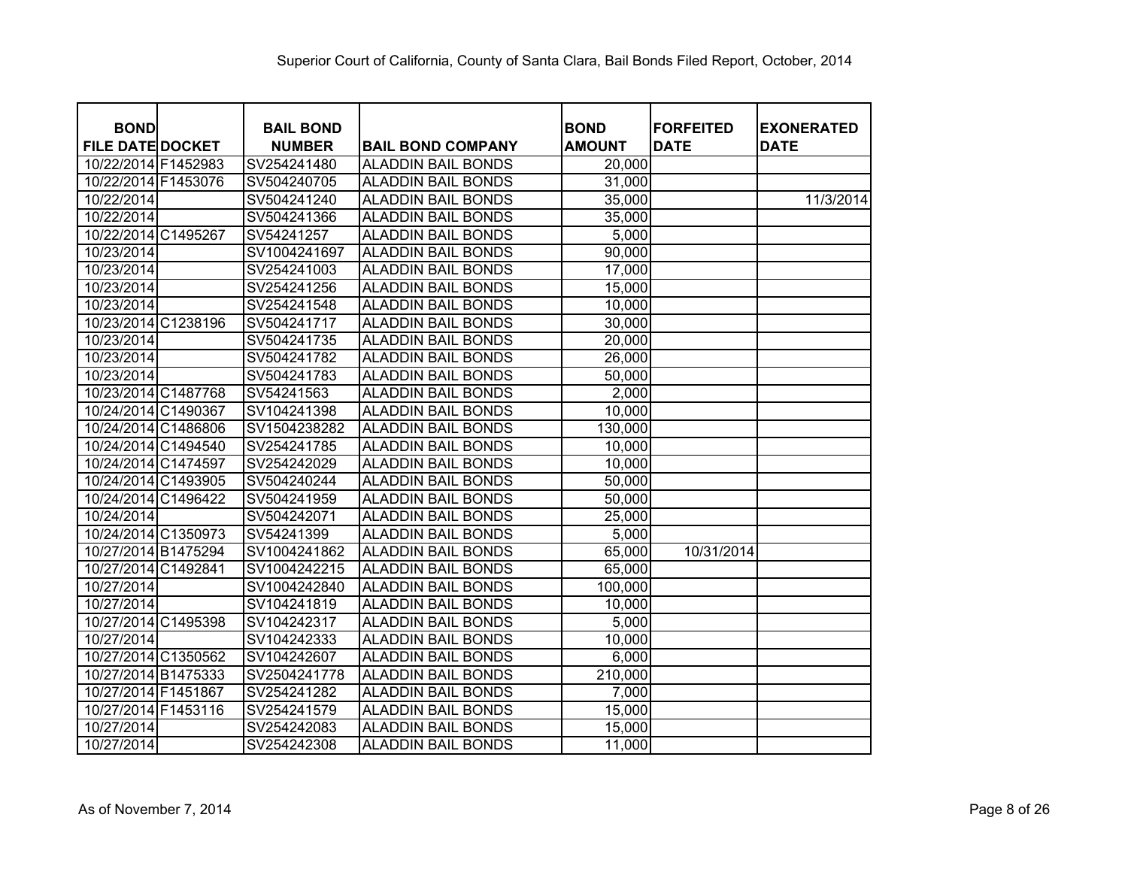| <b>BOND</b>             | <b>BAIL BOND</b> |                           | <b>BOND</b>   | <b>FORFEITED</b> | <b>EXONERATED</b> |
|-------------------------|------------------|---------------------------|---------------|------------------|-------------------|
| <b>FILE DATE DOCKET</b> | <b>NUMBER</b>    | <b>BAIL BOND COMPANY</b>  | <b>AMOUNT</b> | <b>DATE</b>      | <b>DATE</b>       |
| 10/22/2014 F1452983     | SV254241480      | <b>ALADDIN BAIL BONDS</b> | 20,000        |                  |                   |
| 10/22/2014 F1453076     | SV504240705      | <b>ALADDIN BAIL BONDS</b> | 31,000        |                  |                   |
| 10/22/2014              | SV504241240      | <b>ALADDIN BAIL BONDS</b> | 35,000        |                  | 11/3/2014         |
| 10/22/2014              | SV504241366      | <b>ALADDIN BAIL BONDS</b> | 35,000        |                  |                   |
| 10/22/2014 C1495267     | SV54241257       | <b>ALADDIN BAIL BONDS</b> | 5,000         |                  |                   |
| 10/23/2014              | SV1004241697     | <b>ALADDIN BAIL BONDS</b> | 90,000        |                  |                   |
| 10/23/2014              | SV254241003      | <b>ALADDIN BAIL BONDS</b> | 17,000        |                  |                   |
| 10/23/2014              | SV254241256      | <b>ALADDIN BAIL BONDS</b> | 15,000        |                  |                   |
| 10/23/2014              | SV254241548      | <b>ALADDIN BAIL BONDS</b> | 10,000        |                  |                   |
| 10/23/2014 C1238196     | SV504241717      | <b>ALADDIN BAIL BONDS</b> | 30,000        |                  |                   |
| 10/23/2014              | SV504241735      | <b>ALADDIN BAIL BONDS</b> | 20,000        |                  |                   |
| 10/23/2014              | SV504241782      | <b>ALADDIN BAIL BONDS</b> | 26,000        |                  |                   |
| 10/23/2014              | SV504241783      | <b>ALADDIN BAIL BONDS</b> | 50,000        |                  |                   |
| 10/23/2014 C1487768     | SV54241563       | <b>ALADDIN BAIL BONDS</b> | 2,000         |                  |                   |
| 10/24/2014 C1490367     | SV104241398      | <b>ALADDIN BAIL BONDS</b> | 10,000        |                  |                   |
| 10/24/2014 C1486806     | SV1504238282     | <b>ALADDIN BAIL BONDS</b> | 130,000       |                  |                   |
| 10/24/2014 C1494540     | SV254241785      | <b>ALADDIN BAIL BONDS</b> | 10,000        |                  |                   |
| 10/24/2014 C1474597     | SV254242029      | <b>ALADDIN BAIL BONDS</b> | 10,000        |                  |                   |
| 10/24/2014 C1493905     | SV504240244      | <b>ALADDIN BAIL BONDS</b> | 50,000        |                  |                   |
| 10/24/2014 C1496422     | SV504241959      | <b>ALADDIN BAIL BONDS</b> | 50,000        |                  |                   |
| 10/24/2014              | SV504242071      | <b>ALADDIN BAIL BONDS</b> | 25,000        |                  |                   |
| 10/24/2014 C1350973     | SV54241399       | <b>ALADDIN BAIL BONDS</b> | 5,000         |                  |                   |
| 10/27/2014 B1475294     | SV1004241862     | <b>ALADDIN BAIL BONDS</b> | 65,000        | 10/31/2014       |                   |
| 10/27/2014 C1492841     | SV1004242215     | <b>ALADDIN BAIL BONDS</b> | 65,000        |                  |                   |
| 10/27/2014              | SV1004242840     | <b>ALADDIN BAIL BONDS</b> | 100,000       |                  |                   |
| 10/27/2014              | SV104241819      | <b>ALADDIN BAIL BONDS</b> | 10,000        |                  |                   |
| 10/27/2014 C1495398     | SV104242317      | <b>ALADDIN BAIL BONDS</b> | 5,000         |                  |                   |
| 10/27/2014              | SV104242333      | <b>ALADDIN BAIL BONDS</b> | 10,000        |                  |                   |
| 10/27/2014 C1350562     | SV104242607      | <b>ALADDIN BAIL BONDS</b> | 6,000         |                  |                   |
| 10/27/2014 B1475333     | SV2504241778     | <b>ALADDIN BAIL BONDS</b> | 210,000       |                  |                   |
| 10/27/2014 F1451867     | SV254241282      | <b>ALADDIN BAIL BONDS</b> | 7,000         |                  |                   |
| 10/27/2014 F1453116     | SV254241579      | <b>ALADDIN BAIL BONDS</b> | 15,000        |                  |                   |
| 10/27/2014              | SV254242083      | <b>ALADDIN BAIL BONDS</b> | 15,000        |                  |                   |
| 10/27/2014              | SV254242308      | <b>ALADDIN BAIL BONDS</b> | 11,000        |                  |                   |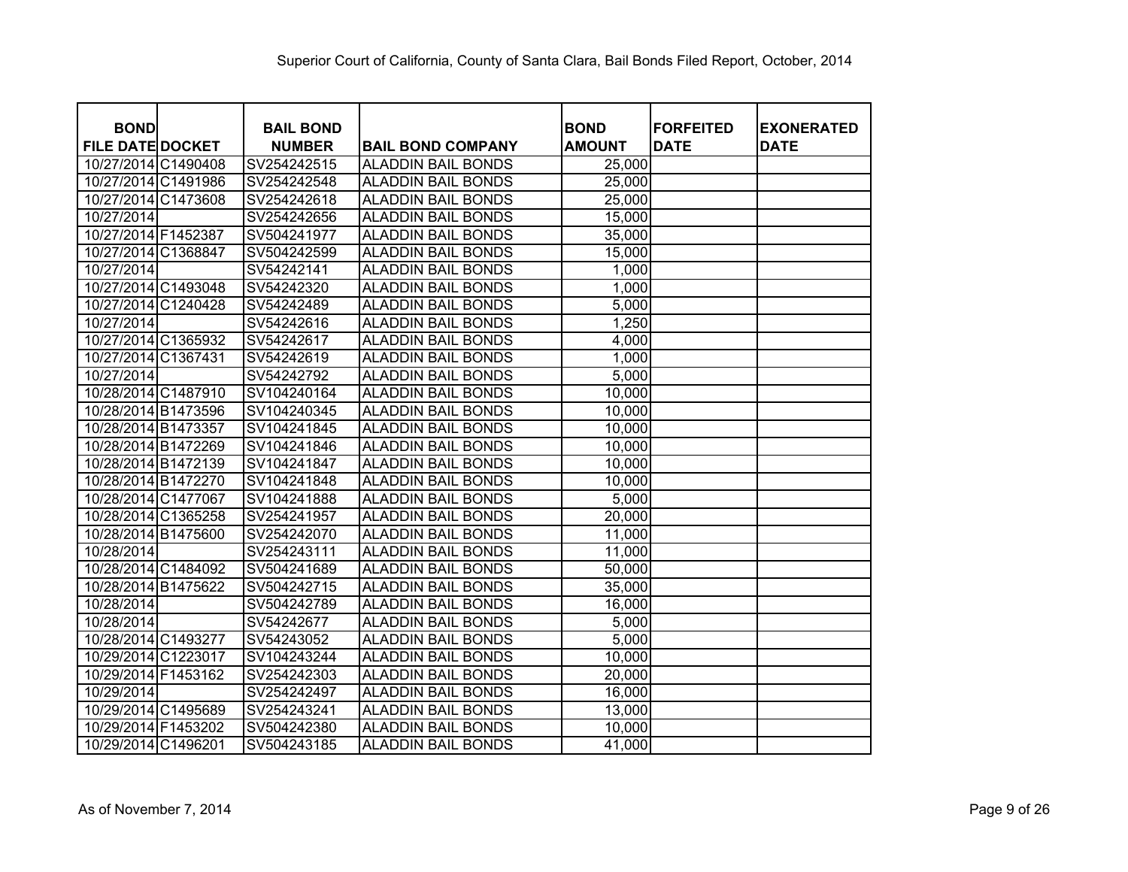| <b>BOND</b>             | <b>BAIL BOND</b> |                           | <b>BOND</b>   | <b>FORFEITED</b> | <b>EXONERATED</b> |
|-------------------------|------------------|---------------------------|---------------|------------------|-------------------|
| <b>FILE DATE DOCKET</b> | <b>NUMBER</b>    | <b>BAIL BOND COMPANY</b>  | <b>AMOUNT</b> | <b>DATE</b>      | <b>DATE</b>       |
| 10/27/2014 C1490408     | SV254242515      | <b>ALADDIN BAIL BONDS</b> | 25,000        |                  |                   |
| 10/27/2014 C1491986     | SV254242548      | <b>ALADDIN BAIL BONDS</b> | 25,000        |                  |                   |
| 10/27/2014 C1473608     | SV254242618      | <b>ALADDIN BAIL BONDS</b> | 25,000        |                  |                   |
| 10/27/2014              | SV254242656      | <b>ALADDIN BAIL BONDS</b> | 15,000        |                  |                   |
| 10/27/2014 F1452387     | SV504241977      | <b>ALADDIN BAIL BONDS</b> | 35,000        |                  |                   |
| 10/27/2014 C1368847     | SV504242599      | <b>ALADDIN BAIL BONDS</b> | 15,000        |                  |                   |
| 10/27/2014              | SV54242141       | <b>ALADDIN BAIL BONDS</b> | 1,000         |                  |                   |
| 10/27/2014 C1493048     | SV54242320       | <b>ALADDIN BAIL BONDS</b> | 1,000         |                  |                   |
| 10/27/2014 C1240428     | SV54242489       | <b>ALADDIN BAIL BONDS</b> | 5,000         |                  |                   |
| 10/27/2014              | SV54242616       | <b>ALADDIN BAIL BONDS</b> | 1,250         |                  |                   |
| 10/27/2014 C1365932     | SV54242617       | <b>ALADDIN BAIL BONDS</b> | 4,000         |                  |                   |
| 10/27/2014 C1367431     | SV54242619       | <b>ALADDIN BAIL BONDS</b> | 1,000         |                  |                   |
| 10/27/2014              | SV54242792       | <b>ALADDIN BAIL BONDS</b> | 5,000         |                  |                   |
| 10/28/2014 C1487910     | SV104240164      | <b>ALADDIN BAIL BONDS</b> | 10,000        |                  |                   |
| 10/28/2014 B1473596     | SV104240345      | <b>ALADDIN BAIL BONDS</b> | 10,000        |                  |                   |
| 10/28/2014 B1473357     | SV104241845      | <b>ALADDIN BAIL BONDS</b> | 10,000        |                  |                   |
| 10/28/2014 B1472269     | SV104241846      | <b>ALADDIN BAIL BONDS</b> | 10,000        |                  |                   |
| 10/28/2014 B1472139     | SV104241847      | <b>ALADDIN BAIL BONDS</b> | 10,000        |                  |                   |
| 10/28/2014 B1472270     | SV104241848      | <b>ALADDIN BAIL BONDS</b> | 10,000        |                  |                   |
| 10/28/2014 C1477067     | SV104241888      | <b>ALADDIN BAIL BONDS</b> | 5,000         |                  |                   |
| 10/28/2014 C1365258     | SV254241957      | <b>ALADDIN BAIL BONDS</b> | 20,000        |                  |                   |
| 10/28/2014 B1475600     | SV254242070      | <b>ALADDIN BAIL BONDS</b> | 11,000        |                  |                   |
| 10/28/2014              | SV254243111      | <b>ALADDIN BAIL BONDS</b> | 11,000        |                  |                   |
| 10/28/2014 C1484092     | SV504241689      | <b>ALADDIN BAIL BONDS</b> | 50,000        |                  |                   |
| 10/28/2014 B1475622     | SV504242715      | <b>ALADDIN BAIL BONDS</b> | 35,000        |                  |                   |
| 10/28/2014              | SV504242789      | <b>ALADDIN BAIL BONDS</b> | 16,000        |                  |                   |
| 10/28/2014              | SV54242677       | <b>ALADDIN BAIL BONDS</b> | 5,000         |                  |                   |
| 10/28/2014 C1493277     | SV54243052       | <b>ALADDIN BAIL BONDS</b> | 5,000         |                  |                   |
| 10/29/2014 C1223017     | SV104243244      | <b>ALADDIN BAIL BONDS</b> | 10,000        |                  |                   |
| 10/29/2014 F1453162     | SV254242303      | <b>ALADDIN BAIL BONDS</b> | 20,000        |                  |                   |
| 10/29/2014              | SV254242497      | <b>ALADDIN BAIL BONDS</b> | 16,000        |                  |                   |
| 10/29/2014 C1495689     | SV254243241      | <b>ALADDIN BAIL BONDS</b> | 13,000        |                  |                   |
| 10/29/2014 F1453202     | SV504242380      | <b>ALADDIN BAIL BONDS</b> | 10,000        |                  |                   |
| 10/29/2014 C1496201     | SV504243185      | <b>ALADDIN BAIL BONDS</b> | 41,000        |                  |                   |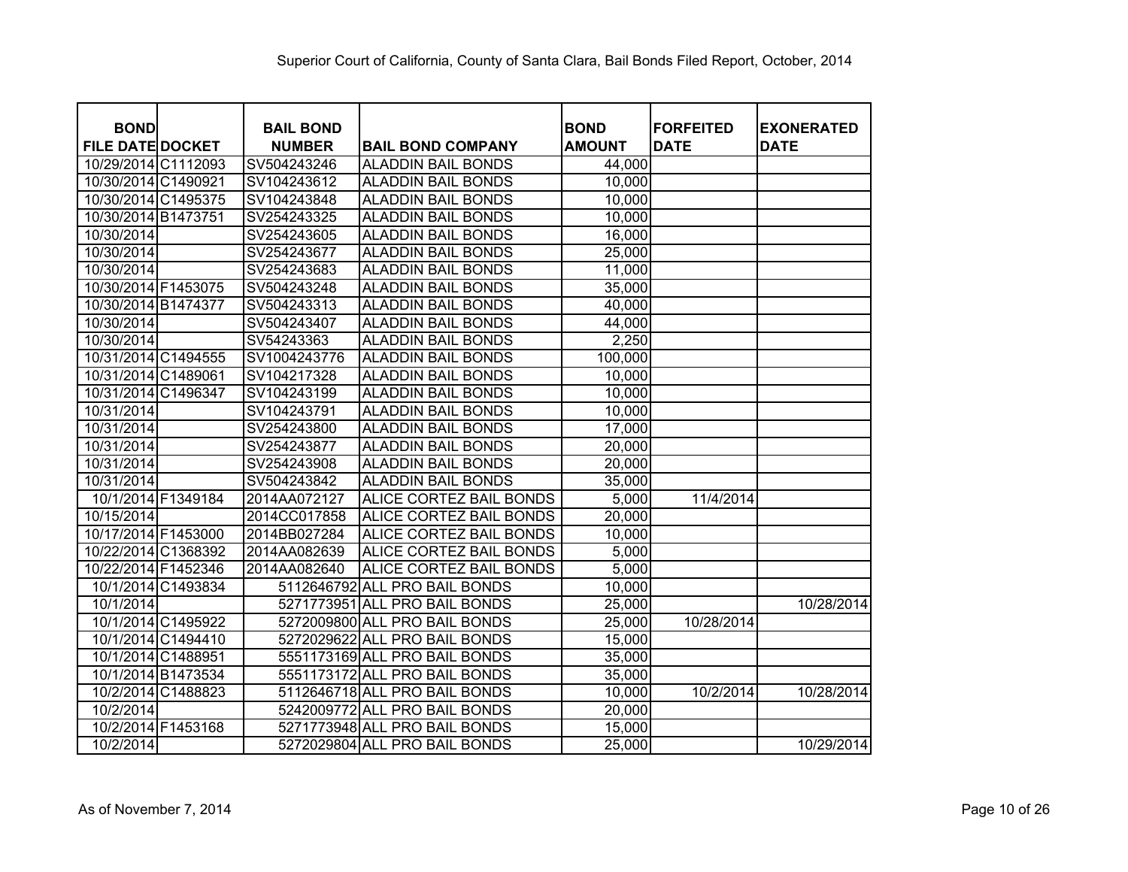| <b>BOND</b>             |                    | <b>BAIL BOND</b> |                                | <b>BOND</b>   | <b>FORFEITED</b> | <b>EXONERATED</b> |
|-------------------------|--------------------|------------------|--------------------------------|---------------|------------------|-------------------|
| <b>FILE DATE DOCKET</b> |                    | <b>NUMBER</b>    | <b>BAIL BOND COMPANY</b>       | <b>AMOUNT</b> | <b>DATE</b>      | <b>DATE</b>       |
| 10/29/2014 C1112093     |                    | SV504243246      | <b>ALADDIN BAIL BONDS</b>      | 44,000        |                  |                   |
| 10/30/2014 C1490921     |                    | SV104243612      | <b>ALADDIN BAIL BONDS</b>      | 10,000        |                  |                   |
| 10/30/2014 C1495375     |                    | SV104243848      | <b>ALADDIN BAIL BONDS</b>      | 10,000        |                  |                   |
| 10/30/2014 B1473751     |                    | SV254243325      | <b>ALADDIN BAIL BONDS</b>      | 10,000        |                  |                   |
| 10/30/2014              |                    | SV254243605      | <b>ALADDIN BAIL BONDS</b>      | 16,000        |                  |                   |
| 10/30/2014              |                    | SV254243677      | <b>ALADDIN BAIL BONDS</b>      | 25,000        |                  |                   |
| 10/30/2014              |                    | SV254243683      | <b>ALADDIN BAIL BONDS</b>      | 11,000        |                  |                   |
| 10/30/2014 F1453075     |                    | SV504243248      | <b>ALADDIN BAIL BONDS</b>      | 35,000        |                  |                   |
| 10/30/2014 B1474377     |                    | SV504243313      | <b>ALADDIN BAIL BONDS</b>      | 40,000        |                  |                   |
| 10/30/2014              |                    | SV504243407      | <b>ALADDIN BAIL BONDS</b>      | 44,000        |                  |                   |
| 10/30/2014              |                    | SV54243363       | <b>ALADDIN BAIL BONDS</b>      | 2,250         |                  |                   |
| 10/31/2014 C1494555     |                    | SV1004243776     | <b>ALADDIN BAIL BONDS</b>      | 100,000       |                  |                   |
| 10/31/2014 C1489061     |                    | SV104217328      | <b>ALADDIN BAIL BONDS</b>      | 10,000        |                  |                   |
| 10/31/2014 C1496347     |                    | SV104243199      | <b>ALADDIN BAIL BONDS</b>      | 10,000        |                  |                   |
| 10/31/2014              |                    | SV104243791      | <b>ALADDIN BAIL BONDS</b>      | 10,000        |                  |                   |
| 10/31/2014              |                    | SV254243800      | <b>ALADDIN BAIL BONDS</b>      | 17,000        |                  |                   |
| 10/31/2014              |                    | SV254243877      | <b>ALADDIN BAIL BONDS</b>      | 20,000        |                  |                   |
| 10/31/2014              |                    | SV254243908      | <b>ALADDIN BAIL BONDS</b>      | 20,000        |                  |                   |
| 10/31/2014              |                    | SV504243842      | <b>ALADDIN BAIL BONDS</b>      | 35,000        |                  |                   |
| 10/1/2014 F1349184      |                    | 2014AA072127     | ALICE CORTEZ BAIL BONDS        | 5,000         | 11/4/2014        |                   |
| 10/15/2014              |                    | 2014CC017858     | ALICE CORTEZ BAIL BONDS        | 20,000        |                  |                   |
| 10/17/2014 F1453000     |                    | 2014BB027284     | ALICE CORTEZ BAIL BONDS        | 10,000        |                  |                   |
| 10/22/2014 C1368392     |                    | 2014AA082639     | <b>ALICE CORTEZ BAIL BONDS</b> | 5,000         |                  |                   |
| 10/22/2014 F1452346     |                    | 2014AA082640     | ALICE CORTEZ BAIL BONDS        | 5,000         |                  |                   |
|                         | 10/1/2014 C1493834 |                  | 5112646792 ALL PRO BAIL BONDS  | 10,000        |                  |                   |
| 10/1/2014               |                    |                  | 5271773951 ALL PRO BAIL BONDS  | 25,000        |                  | 10/28/2014        |
|                         | 10/1/2014 C1495922 |                  | 5272009800 ALL PRO BAIL BONDS  | 25,000        | 10/28/2014       |                   |
|                         | 10/1/2014 C1494410 |                  | 5272029622 ALL PRO BAIL BONDS  | 15,000        |                  |                   |
| 10/1/2014 C1488951      |                    |                  | 5551173169 ALL PRO BAIL BONDS  | 35,000        |                  |                   |
|                         | 10/1/2014 B1473534 |                  | 5551173172 ALL PRO BAIL BONDS  | 35,000        |                  |                   |
|                         | 10/2/2014 C1488823 |                  | 5112646718 ALL PRO BAIL BONDS  | 10,000        | 10/2/2014        | 10/28/2014        |
| 10/2/2014               |                    |                  | 5242009772 ALL PRO BAIL BONDS  | 20,000        |                  |                   |
| 10/2/2014 F1453168      |                    |                  | 5271773948 ALL PRO BAIL BONDS  | 15,000        |                  |                   |
| 10/2/2014               |                    |                  | 5272029804 ALL PRO BAIL BONDS  | 25,000        |                  | 10/29/2014        |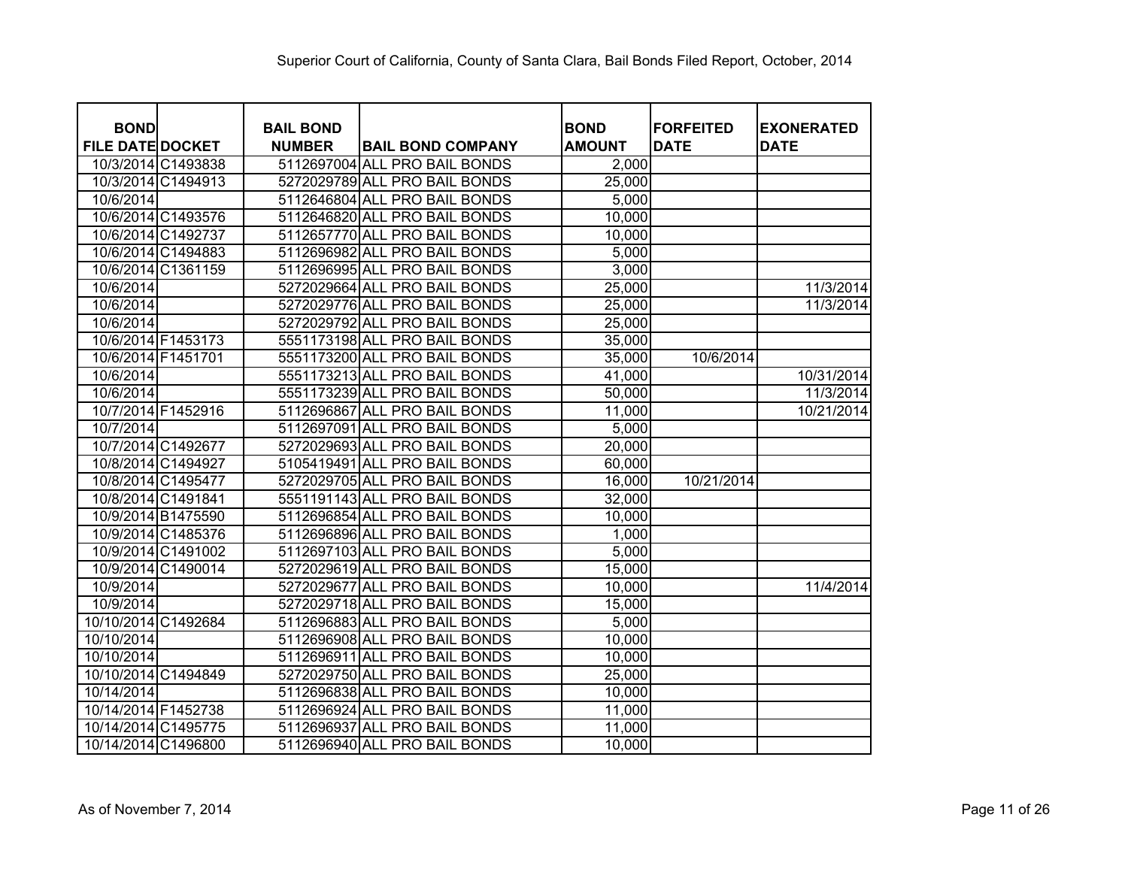| <b>BOND</b>             |                    | <b>BAIL BOND</b> |                               | <b>BOND</b>   | <b>FORFEITED</b> | <b>EXONERATED</b> |
|-------------------------|--------------------|------------------|-------------------------------|---------------|------------------|-------------------|
| <b>FILE DATE DOCKET</b> |                    | <b>NUMBER</b>    | <b>BAIL BOND COMPANY</b>      | <b>AMOUNT</b> | <b>DATE</b>      | <b>DATE</b>       |
|                         | 10/3/2014 C1493838 |                  | 5112697004 ALL PRO BAIL BONDS | 2,000         |                  |                   |
|                         | 10/3/2014 C1494913 |                  | 5272029789 ALL PRO BAIL BONDS | 25,000        |                  |                   |
| 10/6/2014               |                    |                  | 5112646804 ALL PRO BAIL BONDS | 5,000         |                  |                   |
|                         | 10/6/2014 C1493576 |                  | 5112646820 ALL PRO BAIL BONDS | 10,000        |                  |                   |
|                         | 10/6/2014 C1492737 |                  | 5112657770 ALL PRO BAIL BONDS | 10,000        |                  |                   |
|                         | 10/6/2014 C1494883 |                  | 5112696982 ALL PRO BAIL BONDS | 5,000         |                  |                   |
|                         | 10/6/2014 C1361159 |                  | 5112696995 ALL PRO BAIL BONDS | 3,000         |                  |                   |
| 10/6/2014               |                    |                  | 5272029664 ALL PRO BAIL BONDS | 25,000        |                  | 11/3/2014         |
| 10/6/2014               |                    |                  | 5272029776 ALL PRO BAIL BONDS | 25,000        |                  | 11/3/2014         |
| 10/6/2014               |                    |                  | 5272029792 ALL PRO BAIL BONDS | 25,000        |                  |                   |
|                         | 10/6/2014 F1453173 |                  | 5551173198 ALL PRO BAIL BONDS | 35,000        |                  |                   |
| 10/6/2014 F1451701      |                    |                  | 5551173200 ALL PRO BAIL BONDS | 35,000        | 10/6/2014        |                   |
| 10/6/2014               |                    |                  | 5551173213 ALL PRO BAIL BONDS | 41,000        |                  | 10/31/2014        |
| 10/6/2014               |                    |                  | 5551173239 ALL PRO BAIL BONDS | 50,000        |                  | 11/3/2014         |
| 10/7/2014 F1452916      |                    |                  | 5112696867 ALL PRO BAIL BONDS | 11,000        |                  | 10/21/2014        |
| 10/7/2014               |                    |                  | 5112697091 ALL PRO BAIL BONDS | 5,000         |                  |                   |
|                         | 10/7/2014 C1492677 |                  | 5272029693 ALL PRO BAIL BONDS | 20,000        |                  |                   |
| 10/8/2014 C1494927      |                    |                  | 5105419491 ALL PRO BAIL BONDS | 60,000        |                  |                   |
|                         | 10/8/2014 C1495477 |                  | 5272029705 ALL PRO BAIL BONDS | 16,000        | 10/21/2014       |                   |
| 10/8/2014 C1491841      |                    |                  | 5551191143 ALL PRO BAIL BONDS | 32,000        |                  |                   |
|                         | 10/9/2014 B1475590 |                  | 5112696854 ALL PRO BAIL BONDS | 10,000        |                  |                   |
|                         | 10/9/2014 C1485376 |                  | 5112696896 ALL PRO BAIL BONDS | 1,000         |                  |                   |
|                         | 10/9/2014 C1491002 |                  | 5112697103 ALL PRO BAIL BONDS | 5,000         |                  |                   |
|                         | 10/9/2014 C1490014 |                  | 5272029619 ALL PRO BAIL BONDS | 15,000        |                  |                   |
| 10/9/2014               |                    |                  | 5272029677 ALL PRO BAIL BONDS | 10,000        |                  | 11/4/2014         |
| 10/9/2014               |                    |                  | 5272029718 ALL PRO BAIL BONDS | 15,000        |                  |                   |
| 10/10/2014 C1492684     |                    |                  | 5112696883 ALL PRO BAIL BONDS | 5,000         |                  |                   |
| 10/10/2014              |                    |                  | 5112696908 ALL PRO BAIL BONDS | 10,000        |                  |                   |
| 10/10/2014              |                    |                  | 5112696911 ALL PRO BAIL BONDS | 10,000        |                  |                   |
| 10/10/2014 C1494849     |                    |                  | 5272029750 ALL PRO BAIL BONDS | 25,000        |                  |                   |
| 10/14/2014              |                    |                  | 5112696838 ALL PRO BAIL BONDS | 10,000        |                  |                   |
| 10/14/2014 F1452738     |                    |                  | 5112696924 ALL PRO BAIL BONDS | 11,000        |                  |                   |
| 10/14/2014 C1495775     |                    |                  | 5112696937 ALL PRO BAIL BONDS | 11,000        |                  |                   |
| 10/14/2014 C1496800     |                    |                  | 5112696940 ALL PRO BAIL BONDS | 10,000        |                  |                   |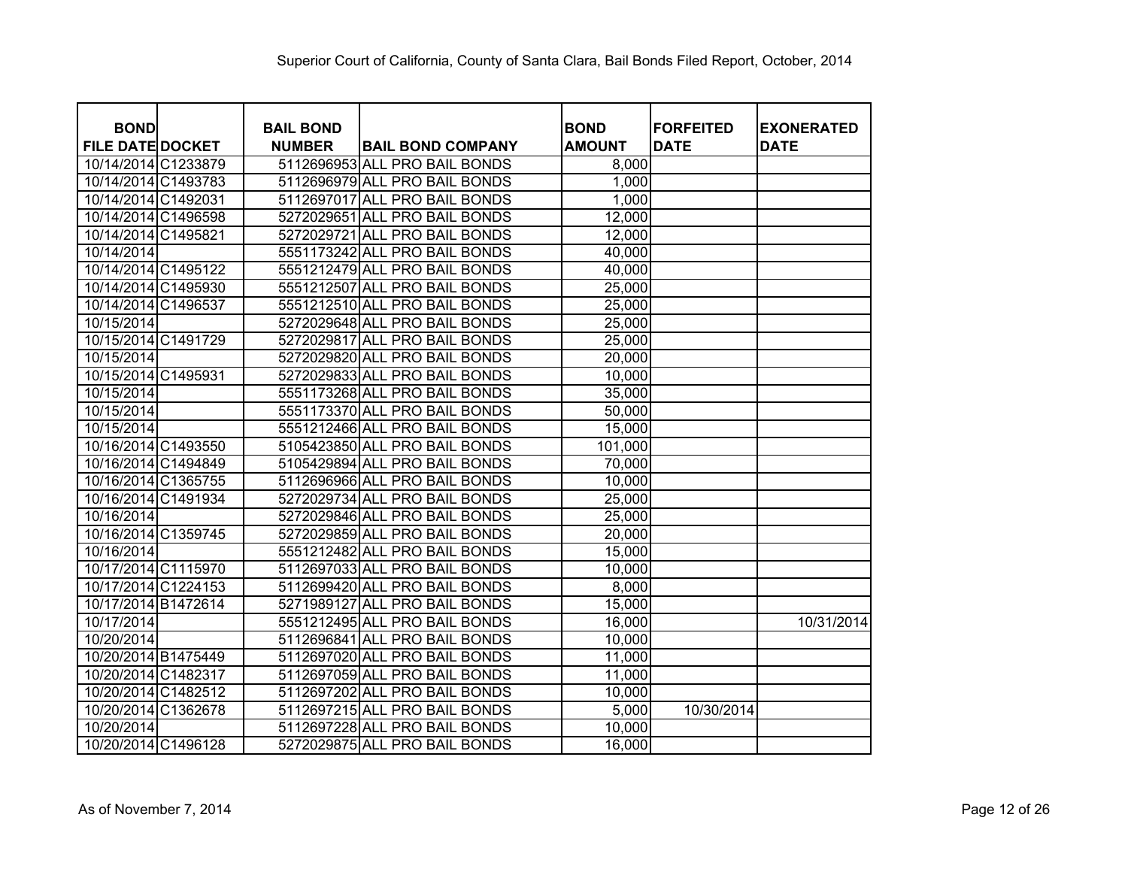| <b>BOND</b>             | <b>BAIL BOND</b> |                               | <b>BOND</b>   | <b>FORFEITED</b> | <b>EXONERATED</b> |
|-------------------------|------------------|-------------------------------|---------------|------------------|-------------------|
| <b>FILE DATE DOCKET</b> | <b>NUMBER</b>    | <b>BAIL BOND COMPANY</b>      | <b>AMOUNT</b> | <b>DATE</b>      | <b>DATE</b>       |
| 10/14/2014 C1233879     |                  | 5112696953 ALL PRO BAIL BONDS | 8,000         |                  |                   |
| 10/14/2014 C1493783     |                  | 5112696979 ALL PRO BAIL BONDS | 1,000         |                  |                   |
| 10/14/2014 C1492031     |                  | 5112697017 ALL PRO BAIL BONDS | 1,000         |                  |                   |
| 10/14/2014 C1496598     |                  | 5272029651 ALL PRO BAIL BONDS | 12,000        |                  |                   |
| 10/14/2014 C1495821     |                  | 5272029721 ALL PRO BAIL BONDS | 12,000        |                  |                   |
| 10/14/2014              |                  | 5551173242 ALL PRO BAIL BONDS | 40,000        |                  |                   |
| 10/14/2014 C1495122     |                  | 5551212479 ALL PRO BAIL BONDS | 40,000        |                  |                   |
| 10/14/2014 C1495930     |                  | 5551212507 ALL PRO BAIL BONDS | 25,000        |                  |                   |
| 10/14/2014 C1496537     |                  | 5551212510 ALL PRO BAIL BONDS | 25,000        |                  |                   |
| 10/15/2014              |                  | 5272029648 ALL PRO BAIL BONDS | 25,000        |                  |                   |
| 10/15/2014 C1491729     |                  | 5272029817 ALL PRO BAIL BONDS | 25,000        |                  |                   |
| 10/15/2014              |                  | 5272029820 ALL PRO BAIL BONDS | 20,000        |                  |                   |
| 10/15/2014 C1495931     |                  | 5272029833 ALL PRO BAIL BONDS | 10,000        |                  |                   |
| 10/15/2014              |                  | 5551173268 ALL PRO BAIL BONDS | 35,000        |                  |                   |
| 10/15/2014              |                  | 5551173370 ALL PRO BAIL BONDS | 50,000        |                  |                   |
| 10/15/2014              |                  | 5551212466 ALL PRO BAIL BONDS | 15,000        |                  |                   |
| 10/16/2014 C1493550     |                  | 5105423850 ALL PRO BAIL BONDS | 101,000       |                  |                   |
| 10/16/2014 C1494849     |                  | 5105429894 ALL PRO BAIL BONDS | 70,000        |                  |                   |
| 10/16/2014 C1365755     |                  | 5112696966 ALL PRO BAIL BONDS | 10,000        |                  |                   |
| 10/16/2014 C1491934     |                  | 5272029734 ALL PRO BAIL BONDS | 25,000        |                  |                   |
| 10/16/2014              |                  | 5272029846 ALL PRO BAIL BONDS | 25,000        |                  |                   |
| 10/16/2014 C1359745     |                  | 5272029859 ALL PRO BAIL BONDS | 20,000        |                  |                   |
| 10/16/2014              |                  | 5551212482 ALL PRO BAIL BONDS | 15,000        |                  |                   |
| 10/17/2014 C1115970     |                  | 5112697033 ALL PRO BAIL BONDS | 10,000        |                  |                   |
| 10/17/2014 C1224153     |                  | 5112699420 ALL PRO BAIL BONDS | 8,000         |                  |                   |
| 10/17/2014 B1472614     |                  | 5271989127 ALL PRO BAIL BONDS | 15,000        |                  |                   |
| 10/17/2014              |                  | 5551212495 ALL PRO BAIL BONDS | 16,000        |                  | 10/31/2014        |
| 10/20/2014              |                  | 5112696841 ALL PRO BAIL BONDS | 10,000        |                  |                   |
| 10/20/2014 B1475449     |                  | 5112697020 ALL PRO BAIL BONDS | 11,000        |                  |                   |
| 10/20/2014 C1482317     |                  | 5112697059 ALL PRO BAIL BONDS | 11,000        |                  |                   |
| 10/20/2014 C1482512     |                  | 5112697202 ALL PRO BAIL BONDS | 10,000        |                  |                   |
| 10/20/2014 C1362678     |                  | 5112697215 ALL PRO BAIL BONDS | 5,000         | 10/30/2014       |                   |
| 10/20/2014              |                  | 5112697228 ALL PRO BAIL BONDS | 10,000        |                  |                   |
| 10/20/2014 C1496128     |                  | 5272029875 ALL PRO BAIL BONDS | 16,000        |                  |                   |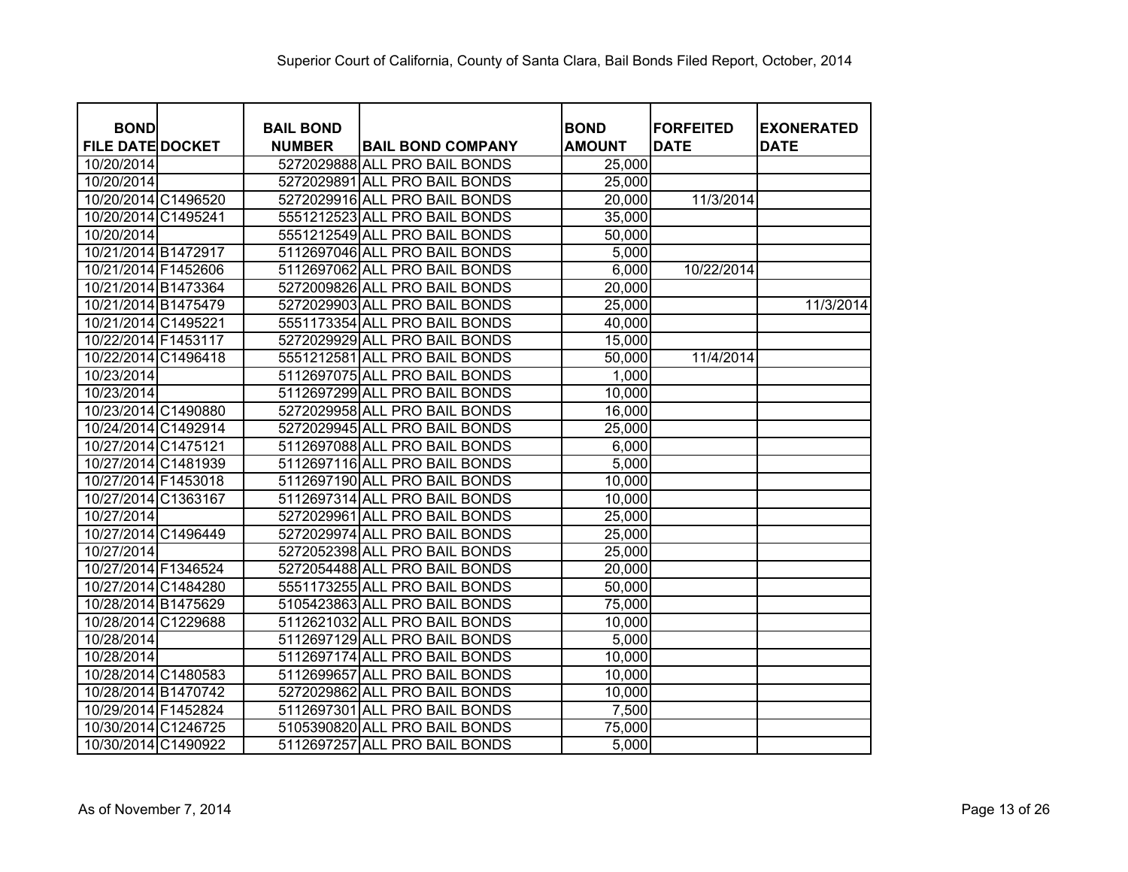| <b>BOND</b>             | <b>BAIL BOND</b> |                               | <b>BOND</b>   | <b>FORFEITED</b> | <b>EXONERATED</b> |
|-------------------------|------------------|-------------------------------|---------------|------------------|-------------------|
| <b>FILE DATE DOCKET</b> | <b>NUMBER</b>    | <b>BAIL BOND COMPANY</b>      | <b>AMOUNT</b> | <b>DATE</b>      | <b>DATE</b>       |
| 10/20/2014              |                  | 5272029888 ALL PRO BAIL BONDS | 25,000        |                  |                   |
| 10/20/2014              |                  | 5272029891 ALL PRO BAIL BONDS | 25,000        |                  |                   |
| 10/20/2014 C1496520     |                  | 5272029916 ALL PRO BAIL BONDS | 20,000        | 11/3/2014        |                   |
| 10/20/2014 C1495241     |                  | 5551212523 ALL PRO BAIL BONDS | 35,000        |                  |                   |
| 10/20/2014              |                  | 5551212549 ALL PRO BAIL BONDS | 50,000        |                  |                   |
| 10/21/2014 B1472917     |                  | 5112697046 ALL PRO BAIL BONDS | 5,000         |                  |                   |
| 10/21/2014 F1452606     |                  | 5112697062 ALL PRO BAIL BONDS | 6,000         | 10/22/2014       |                   |
| 10/21/2014 B1473364     |                  | 5272009826 ALL PRO BAIL BONDS | 20,000        |                  |                   |
| 10/21/2014 B1475479     |                  | 5272029903 ALL PRO BAIL BONDS | 25,000        |                  | 11/3/2014         |
| 10/21/2014 C1495221     |                  | 5551173354 ALL PRO BAIL BONDS | 40,000        |                  |                   |
| 10/22/2014 F1453117     |                  | 5272029929 ALL PRO BAIL BONDS | 15,000        |                  |                   |
| 10/22/2014 C1496418     |                  | 5551212581 ALL PRO BAIL BONDS | 50,000        | 11/4/2014        |                   |
| 10/23/2014              |                  | 5112697075 ALL PRO BAIL BONDS | 1,000         |                  |                   |
| 10/23/2014              |                  | 5112697299 ALL PRO BAIL BONDS | 10,000        |                  |                   |
| 10/23/2014 C1490880     |                  | 5272029958 ALL PRO BAIL BONDS | 16,000        |                  |                   |
| 10/24/2014 C1492914     |                  | 5272029945 ALL PRO BAIL BONDS | 25,000        |                  |                   |
| 10/27/2014 C1475121     |                  | 5112697088 ALL PRO BAIL BONDS | 6,000         |                  |                   |
| 10/27/2014 C1481939     |                  | 5112697116 ALL PRO BAIL BONDS | 5,000         |                  |                   |
| 10/27/2014 F1453018     |                  | 5112697190 ALL PRO BAIL BONDS | 10,000        |                  |                   |
| 10/27/2014 C1363167     |                  | 5112697314 ALL PRO BAIL BONDS | 10,000        |                  |                   |
| 10/27/2014              |                  | 5272029961 ALL PRO BAIL BONDS | 25,000        |                  |                   |
| 10/27/2014 C1496449     |                  | 5272029974 ALL PRO BAIL BONDS | 25,000        |                  |                   |
| 10/27/2014              |                  | 5272052398 ALL PRO BAIL BONDS | 25,000        |                  |                   |
| 10/27/2014 F1346524     |                  | 5272054488 ALL PRO BAIL BONDS | 20,000        |                  |                   |
| 10/27/2014 C1484280     |                  | 5551173255 ALL PRO BAIL BONDS | 50,000        |                  |                   |
| 10/28/2014 B1475629     |                  | 5105423863 ALL PRO BAIL BONDS | 75,000        |                  |                   |
| 10/28/2014 C1229688     |                  | 5112621032 ALL PRO BAIL BONDS | 10,000        |                  |                   |
| 10/28/2014              |                  | 5112697129 ALL PRO BAIL BONDS | 5,000         |                  |                   |
| 10/28/2014              |                  | 5112697174 ALL PRO BAIL BONDS | 10,000        |                  |                   |
| 10/28/2014 C1480583     |                  | 5112699657 ALL PRO BAIL BONDS | 10,000        |                  |                   |
| 10/28/2014 B1470742     |                  | 5272029862 ALL PRO BAIL BONDS | 10,000        |                  |                   |
| 10/29/2014 F1452824     |                  | 5112697301 ALL PRO BAIL BONDS | 7,500         |                  |                   |
| 10/30/2014 C1246725     |                  | 5105390820 ALL PRO BAIL BONDS | 75,000        |                  |                   |
| 10/30/2014 C1490922     |                  | 5112697257 ALL PRO BAIL BONDS | 5,000         |                  |                   |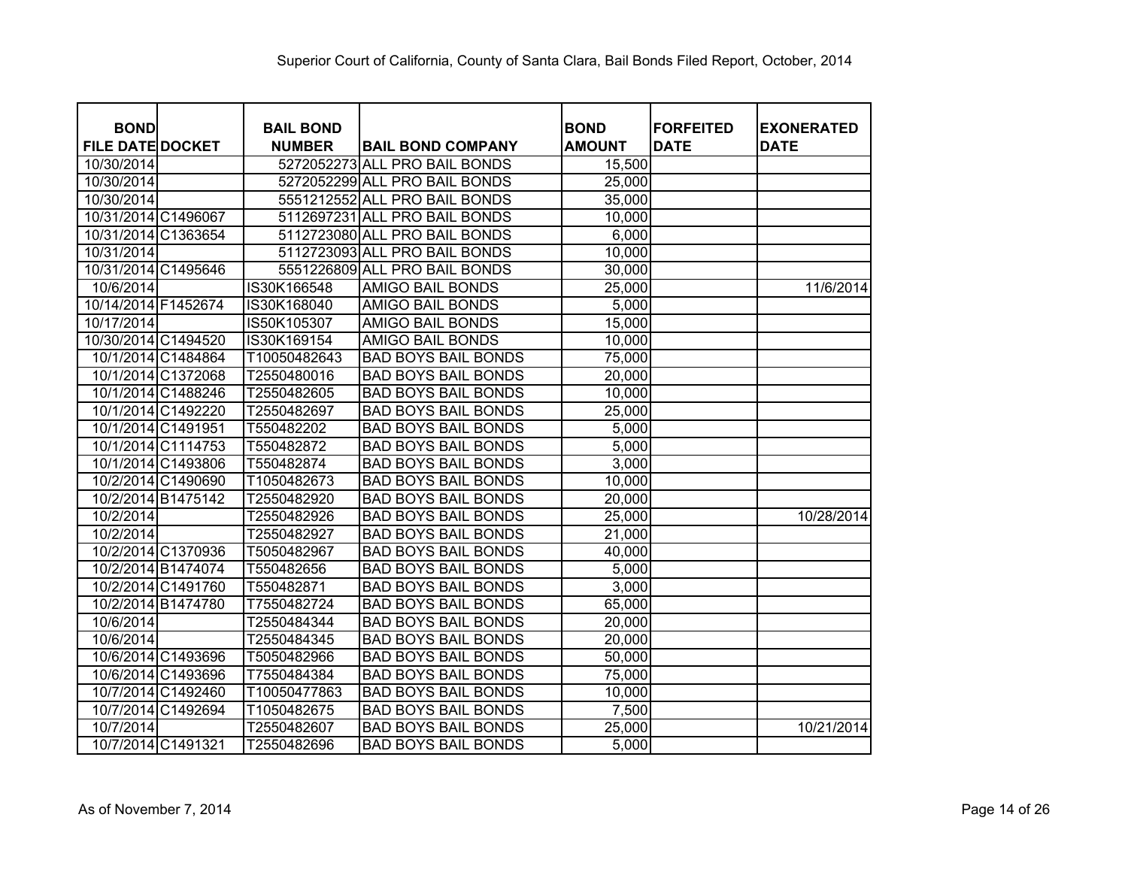| <b>BOND</b>             |                    | <b>BAIL BOND</b> |                               | <b>BOND</b>   | <b>FORFEITED</b> | <b>EXONERATED</b> |
|-------------------------|--------------------|------------------|-------------------------------|---------------|------------------|-------------------|
| <b>FILE DATE DOCKET</b> |                    | <b>NUMBER</b>    | <b>BAIL BOND COMPANY</b>      | <b>AMOUNT</b> | <b>DATE</b>      | <b>DATE</b>       |
| 10/30/2014              |                    |                  | 5272052273 ALL PRO BAIL BONDS | 15,500        |                  |                   |
| 10/30/2014              |                    |                  | 5272052299 ALL PRO BAIL BONDS | 25,000        |                  |                   |
| 10/30/2014              |                    |                  | 5551212552 ALL PRO BAIL BONDS | 35,000        |                  |                   |
| 10/31/2014 C1496067     |                    |                  | 5112697231 ALL PRO BAIL BONDS | 10,000        |                  |                   |
| 10/31/2014 C1363654     |                    |                  | 5112723080 ALL PRO BAIL BONDS | 6,000         |                  |                   |
| 10/31/2014              |                    |                  | 5112723093 ALL PRO BAIL BONDS | 10,000        |                  |                   |
| 10/31/2014 C1495646     |                    |                  | 5551226809 ALL PRO BAIL BONDS | 30,000        |                  |                   |
| 10/6/2014               |                    | IS30K166548      | AMIGO BAIL BONDS              | 25,000        |                  | 11/6/2014         |
| 10/14/2014 F1452674     |                    | IS30K168040      | AMIGO BAIL BONDS              | 5,000         |                  |                   |
| 10/17/2014              |                    | IS50K105307      | AMIGO BAIL BONDS              | 15,000        |                  |                   |
| 10/30/2014 C1494520     |                    | IS30K169154      | <b>AMIGO BAIL BONDS</b>       | 10,000        |                  |                   |
|                         | 10/1/2014 C1484864 | T10050482643     | <b>BAD BOYS BAIL BONDS</b>    | 75,000        |                  |                   |
|                         | 10/1/2014 C1372068 | T2550480016      | <b>BAD BOYS BAIL BONDS</b>    | 20,000        |                  |                   |
|                         | 10/1/2014 C1488246 | T2550482605      | <b>BAD BOYS BAIL BONDS</b>    | 10,000        |                  |                   |
|                         | 10/1/2014 C1492220 | T2550482697      | <b>BAD BOYS BAIL BONDS</b>    | 25,000        |                  |                   |
| 10/1/2014 C1491951      |                    | T550482202       | <b>BAD BOYS BAIL BONDS</b>    | 5,000         |                  |                   |
|                         | 10/1/2014 C1114753 | T550482872       | <b>BAD BOYS BAIL BONDS</b>    | 5,000         |                  |                   |
|                         | 10/1/2014 C1493806 | T550482874       | <b>BAD BOYS BAIL BONDS</b>    | 3,000         |                  |                   |
|                         | 10/2/2014 C1490690 | T1050482673      | <b>BAD BOYS BAIL BONDS</b>    | 10,000        |                  |                   |
| 10/2/2014 B1475142      |                    | T2550482920      | <b>BAD BOYS BAIL BONDS</b>    | 20,000        |                  |                   |
| 10/2/2014               |                    | T2550482926      | <b>BAD BOYS BAIL BONDS</b>    | 25,000        |                  | 10/28/2014        |
| 10/2/2014               |                    | T2550482927      | <b>BAD BOYS BAIL BONDS</b>    | 21,000        |                  |                   |
|                         | 10/2/2014 C1370936 | T5050482967      | <b>BAD BOYS BAIL BONDS</b>    | 40,000        |                  |                   |
|                         | 10/2/2014 B1474074 | T550482656       | <b>BAD BOYS BAIL BONDS</b>    | 5,000         |                  |                   |
|                         | 10/2/2014 C1491760 | T550482871       | <b>BAD BOYS BAIL BONDS</b>    | 3,000         |                  |                   |
| 10/2/2014 B1474780      |                    | T7550482724      | <b>BAD BOYS BAIL BONDS</b>    | 65,000        |                  |                   |
| 10/6/2014               |                    | T2550484344      | <b>BAD BOYS BAIL BONDS</b>    | 20,000        |                  |                   |
| 10/6/2014               |                    | T2550484345      | <b>BAD BOYS BAIL BONDS</b>    | 20,000        |                  |                   |
|                         | 10/6/2014 C1493696 | T5050482966      | <b>BAD BOYS BAIL BONDS</b>    | 50,000        |                  |                   |
|                         | 10/6/2014 C1493696 | T7550484384      | <b>BAD BOYS BAIL BONDS</b>    | 75,000        |                  |                   |
|                         | 10/7/2014 C1492460 | T10050477863     | <b>BAD BOYS BAIL BONDS</b>    | 10,000        |                  |                   |
|                         | 10/7/2014 C1492694 | T1050482675      | <b>BAD BOYS BAIL BONDS</b>    | 7,500         |                  |                   |
| 10/7/2014               |                    | T2550482607      | <b>BAD BOYS BAIL BONDS</b>    | 25,000        |                  | 10/21/2014        |
| 10/7/2014 C1491321      |                    | T2550482696      | <b>BAD BOYS BAIL BONDS</b>    | 5,000         |                  |                   |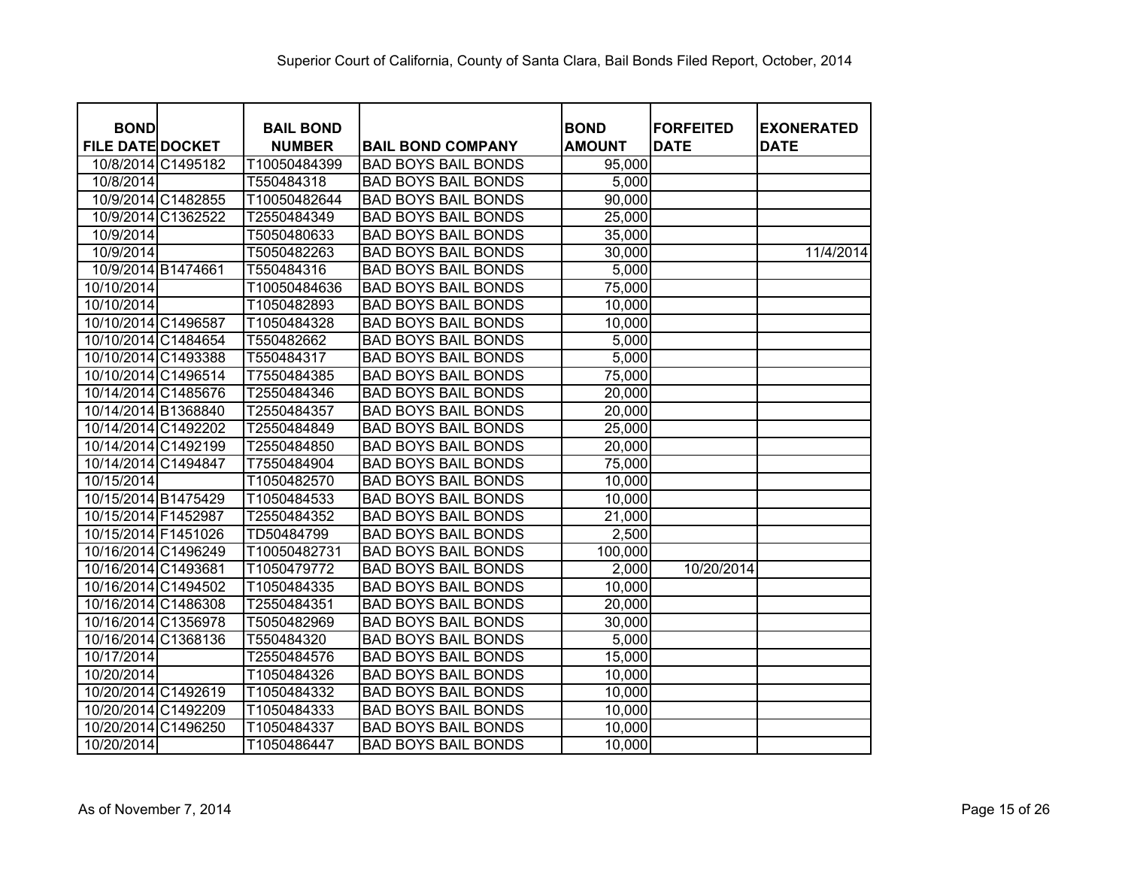| <b>BOND</b>             |                    | <b>BAIL BOND</b> |                            | <b>BOND</b>   | <b>FORFEITED</b> | <b>EXONERATED</b> |
|-------------------------|--------------------|------------------|----------------------------|---------------|------------------|-------------------|
| <b>FILE DATE DOCKET</b> |                    | <b>NUMBER</b>    | <b>BAIL BOND COMPANY</b>   | <b>AMOUNT</b> | <b>DATE</b>      | <b>DATE</b>       |
|                         | 10/8/2014 C1495182 | T10050484399     | <b>BAD BOYS BAIL BONDS</b> | 95,000        |                  |                   |
| 10/8/2014               |                    | T550484318       | <b>BAD BOYS BAIL BONDS</b> | 5,000         |                  |                   |
|                         | 10/9/2014 C1482855 | T10050482644     | <b>BAD BOYS BAIL BONDS</b> | 90,000        |                  |                   |
|                         | 10/9/2014 C1362522 | T2550484349      | <b>BAD BOYS BAIL BONDS</b> | 25,000        |                  |                   |
| 10/9/2014               |                    | T5050480633      | <b>BAD BOYS BAIL BONDS</b> | 35,000        |                  |                   |
| 10/9/2014               |                    | T5050482263      | <b>BAD BOYS BAIL BONDS</b> | 30,000        |                  | 11/4/2014         |
| 10/9/2014 B1474661      |                    | T550484316       | <b>BAD BOYS BAIL BONDS</b> | 5,000         |                  |                   |
| 10/10/2014              |                    | T10050484636     | <b>BAD BOYS BAIL BONDS</b> | 75,000        |                  |                   |
| 10/10/2014              |                    | T1050482893      | <b>BAD BOYS BAIL BONDS</b> | 10,000        |                  |                   |
| 10/10/2014 C1496587     |                    | T1050484328      | <b>BAD BOYS BAIL BONDS</b> | 10,000        |                  |                   |
| 10/10/2014 C1484654     |                    | T550482662       | <b>BAD BOYS BAIL BONDS</b> | 5,000         |                  |                   |
| 10/10/2014 C1493388     |                    | T550484317       | <b>BAD BOYS BAIL BONDS</b> | 5,000         |                  |                   |
| 10/10/2014 C1496514     |                    | T7550484385      | <b>BAD BOYS BAIL BONDS</b> | 75,000        |                  |                   |
| 10/14/2014 C1485676     |                    | T2550484346      | <b>BAD BOYS BAIL BONDS</b> | 20,000        |                  |                   |
| 10/14/2014 B1368840     |                    | T2550484357      | <b>BAD BOYS BAIL BONDS</b> | 20,000        |                  |                   |
| 10/14/2014 C1492202     |                    | T2550484849      | <b>BAD BOYS BAIL BONDS</b> | 25,000        |                  |                   |
| 10/14/2014 C1492199     |                    | T2550484850      | <b>BAD BOYS BAIL BONDS</b> | 20,000        |                  |                   |
| 10/14/2014 C1494847     |                    | T7550484904      | <b>BAD BOYS BAIL BONDS</b> | 75,000        |                  |                   |
| 10/15/2014              |                    | T1050482570      | <b>BAD BOYS BAIL BONDS</b> | 10,000        |                  |                   |
| 10/15/2014 B1475429     |                    | T1050484533      | <b>BAD BOYS BAIL BONDS</b> | 10,000        |                  |                   |
| 10/15/2014 F1452987     |                    | T2550484352      | <b>BAD BOYS BAIL BONDS</b> | 21,000        |                  |                   |
| 10/15/2014 F1451026     |                    | TD50484799       | <b>BAD BOYS BAIL BONDS</b> | 2,500         |                  |                   |
| 10/16/2014 C1496249     |                    | T10050482731     | <b>BAD BOYS BAIL BONDS</b> | 100,000       |                  |                   |
| 10/16/2014 C1493681     |                    | T1050479772      | <b>BAD BOYS BAIL BONDS</b> | 2,000         | 10/20/2014       |                   |
| 10/16/2014 C1494502     |                    | T1050484335      | <b>BAD BOYS BAIL BONDS</b> | 10,000        |                  |                   |
| 10/16/2014 C1486308     |                    | T2550484351      | <b>BAD BOYS BAIL BONDS</b> | 20,000        |                  |                   |
| 10/16/2014 C1356978     |                    | T5050482969      | <b>BAD BOYS BAIL BONDS</b> | 30,000        |                  |                   |
| 10/16/2014 C1368136     |                    | T550484320       | <b>BAD BOYS BAIL BONDS</b> | 5,000         |                  |                   |
| 10/17/2014              |                    | T2550484576      | <b>BAD BOYS BAIL BONDS</b> | 15,000        |                  |                   |
| 10/20/2014              |                    | T1050484326      | <b>BAD BOYS BAIL BONDS</b> | 10,000        |                  |                   |
| 10/20/2014 C1492619     |                    | T1050484332      | <b>BAD BOYS BAIL BONDS</b> | 10,000        |                  |                   |
| 10/20/2014 C1492209     |                    | T1050484333      | <b>BAD BOYS BAIL BONDS</b> | 10,000        |                  |                   |
| 10/20/2014 C1496250     |                    | T1050484337      | <b>BAD BOYS BAIL BONDS</b> | 10,000        |                  |                   |
| 10/20/2014              |                    | T1050486447      | <b>BAD BOYS BAIL BONDS</b> | 10,000        |                  |                   |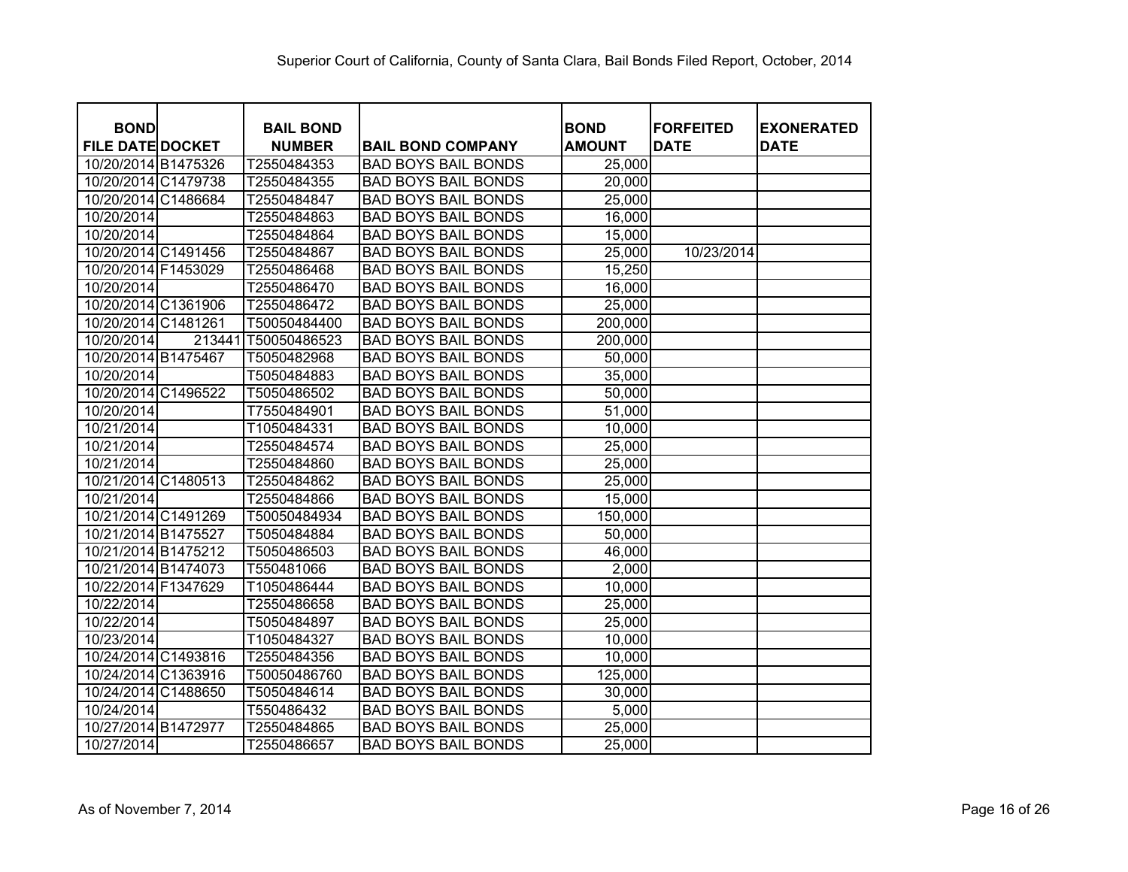| <b>BOND</b>             |        | <b>BAIL BOND</b> |                            | <b>BOND</b>   | <b>FORFEITED</b> | <b>EXONERATED</b> |
|-------------------------|--------|------------------|----------------------------|---------------|------------------|-------------------|
| <b>FILE DATE DOCKET</b> |        | <b>NUMBER</b>    | <b>BAIL BOND COMPANY</b>   | <b>AMOUNT</b> | <b>DATE</b>      | <b>DATE</b>       |
| 10/20/2014 B1475326     |        | T2550484353      | <b>BAD BOYS BAIL BONDS</b> | 25,000        |                  |                   |
| 10/20/2014 C1479738     |        | T2550484355      | <b>BAD BOYS BAIL BONDS</b> | 20,000        |                  |                   |
| 10/20/2014 C1486684     |        | T2550484847      | <b>BAD BOYS BAIL BONDS</b> | 25,000        |                  |                   |
| 10/20/2014              |        | T2550484863      | <b>BAD BOYS BAIL BONDS</b> | 16,000        |                  |                   |
| 10/20/2014              |        | T2550484864      | <b>BAD BOYS BAIL BONDS</b> | 15,000        |                  |                   |
| 10/20/2014 C1491456     |        | T2550484867      | <b>BAD BOYS BAIL BONDS</b> | 25,000        | 10/23/2014       |                   |
| 10/20/2014 F1453029     |        | T2550486468      | <b>BAD BOYS BAIL BONDS</b> | 15,250        |                  |                   |
| 10/20/2014              |        | T2550486470      | <b>BAD BOYS BAIL BONDS</b> | 16,000        |                  |                   |
| 10/20/2014 C1361906     |        | T2550486472      | <b>BAD BOYS BAIL BONDS</b> | 25,000        |                  |                   |
| 10/20/2014 C1481261     |        | T50050484400     | <b>BAD BOYS BAIL BONDS</b> | 200,000       |                  |                   |
| 10/20/2014              | 213441 | T50050486523     | <b>BAD BOYS BAIL BONDS</b> | 200,000       |                  |                   |
| 10/20/2014 B1475467     |        | T5050482968      | <b>BAD BOYS BAIL BONDS</b> | 50,000        |                  |                   |
| 10/20/2014              |        | T5050484883      | <b>BAD BOYS BAIL BONDS</b> | 35,000        |                  |                   |
| 10/20/2014 C1496522     |        | T5050486502      | <b>BAD BOYS BAIL BONDS</b> | 50,000        |                  |                   |
| 10/20/2014              |        | T7550484901      | <b>BAD BOYS BAIL BONDS</b> | 51,000        |                  |                   |
| 10/21/2014              |        | T1050484331      | <b>BAD BOYS BAIL BONDS</b> | 10,000        |                  |                   |
| 10/21/2014              |        | T2550484574      | <b>BAD BOYS BAIL BONDS</b> | 25,000        |                  |                   |
| 10/21/2014              |        | T2550484860      | <b>BAD BOYS BAIL BONDS</b> | 25,000        |                  |                   |
| 10/21/2014 C1480513     |        | T2550484862      | <b>BAD BOYS BAIL BONDS</b> | 25,000        |                  |                   |
| 10/21/2014              |        | T2550484866      | <b>BAD BOYS BAIL BONDS</b> | 15,000        |                  |                   |
| 10/21/2014 C1491269     |        | T50050484934     | <b>BAD BOYS BAIL BONDS</b> | 150,000       |                  |                   |
| 10/21/2014 B1475527     |        | T5050484884      | <b>BAD BOYS BAIL BONDS</b> | 50,000        |                  |                   |
| 10/21/2014 B1475212     |        | T5050486503      | <b>BAD BOYS BAIL BONDS</b> | 46,000        |                  |                   |
| 10/21/2014 B1474073     |        | T550481066       | <b>BAD BOYS BAIL BONDS</b> | 2,000         |                  |                   |
| 10/22/2014 F1347629     |        | T1050486444      | <b>BAD BOYS BAIL BONDS</b> | 10,000        |                  |                   |
| 10/22/2014              |        | T2550486658      | <b>BAD BOYS BAIL BONDS</b> | 25,000        |                  |                   |
| 10/22/2014              |        | T5050484897      | <b>BAD BOYS BAIL BONDS</b> | 25,000        |                  |                   |
| 10/23/2014              |        | T1050484327      | <b>BAD BOYS BAIL BONDS</b> | 10,000        |                  |                   |
| 10/24/2014 C1493816     |        | T2550484356      | <b>BAD BOYS BAIL BONDS</b> | 10,000        |                  |                   |
| 10/24/2014 C1363916     |        | T50050486760     | <b>BAD BOYS BAIL BONDS</b> | 125,000       |                  |                   |
| 10/24/2014 C1488650     |        | T5050484614      | <b>BAD BOYS BAIL BONDS</b> | 30,000        |                  |                   |
| 10/24/2014              |        | T550486432       | <b>BAD BOYS BAIL BONDS</b> | 5,000         |                  |                   |
| 10/27/2014 B1472977     |        | T2550484865      | <b>BAD BOYS BAIL BONDS</b> | 25,000        |                  |                   |
| 10/27/2014              |        | T2550486657      | <b>BAD BOYS BAIL BONDS</b> | 25,000        |                  |                   |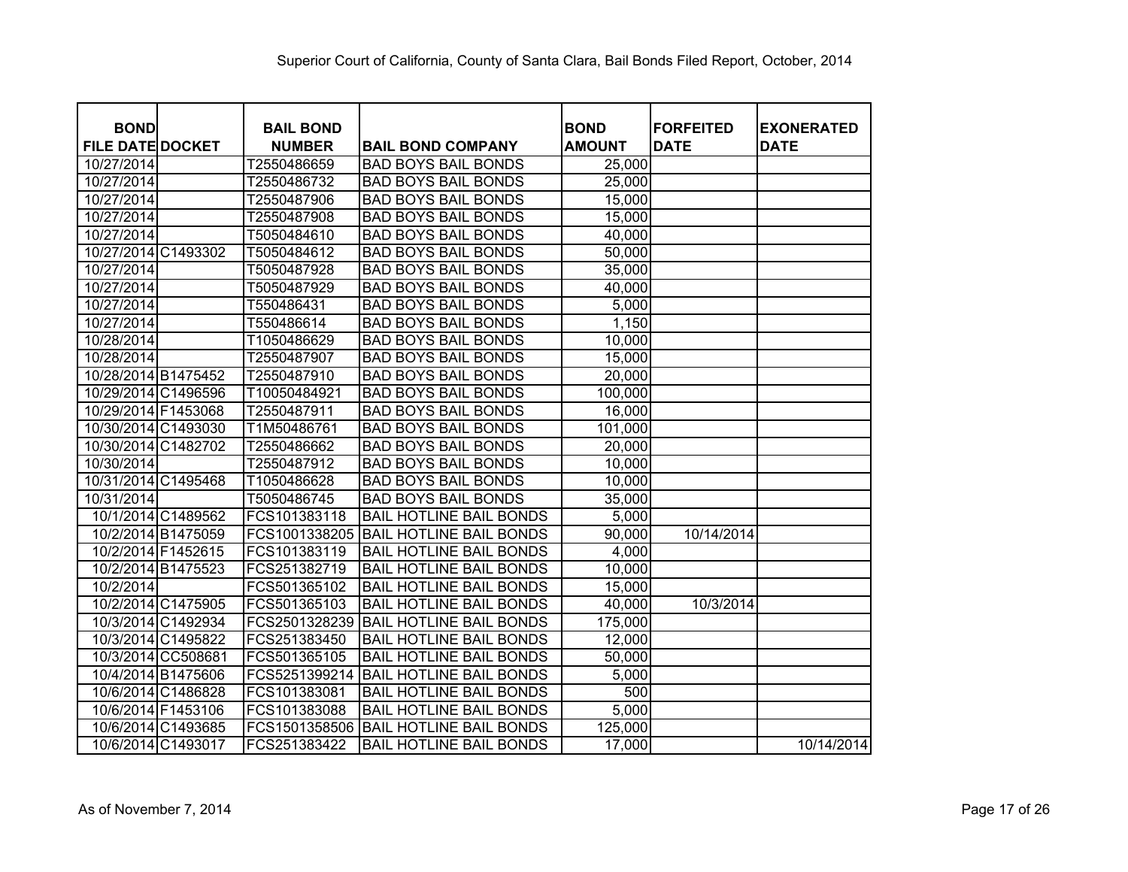| <b>BOND</b>             | <b>BAIL BOND</b> |                                | <b>BOND</b>   | <b>FORFEITED</b> | <b>EXONERATED</b> |
|-------------------------|------------------|--------------------------------|---------------|------------------|-------------------|
| <b>FILE DATE DOCKET</b> | <b>NUMBER</b>    | <b>BAIL BOND COMPANY</b>       | <b>AMOUNT</b> | <b>DATE</b>      | <b>DATE</b>       |
| 10/27/2014              | T2550486659      | <b>BAD BOYS BAIL BONDS</b>     | 25,000        |                  |                   |
| 10/27/2014              | T2550486732      | <b>BAD BOYS BAIL BONDS</b>     | 25,000        |                  |                   |
| 10/27/2014              | T2550487906      | <b>BAD BOYS BAIL BONDS</b>     | 15,000        |                  |                   |
| 10/27/2014              | T2550487908      | <b>BAD BOYS BAIL BONDS</b>     | 15,000        |                  |                   |
| 10/27/2014              | T5050484610      | <b>BAD BOYS BAIL BONDS</b>     | 40,000        |                  |                   |
| 10/27/2014 C1493302     | T5050484612      | <b>BAD BOYS BAIL BONDS</b>     | 50,000        |                  |                   |
| 10/27/2014              | T5050487928      | <b>BAD BOYS BAIL BONDS</b>     | 35,000        |                  |                   |
| 10/27/2014              | T5050487929      | <b>BAD BOYS BAIL BONDS</b>     | 40,000        |                  |                   |
| 10/27/2014              | T550486431       | <b>BAD BOYS BAIL BONDS</b>     | 5,000         |                  |                   |
| 10/27/2014              | T550486614       | <b>BAD BOYS BAIL BONDS</b>     | 1,150         |                  |                   |
| 10/28/2014              | T1050486629      | <b>BAD BOYS BAIL BONDS</b>     | 10,000        |                  |                   |
| 10/28/2014              | T2550487907      | <b>BAD BOYS BAIL BONDS</b>     | 15,000        |                  |                   |
| 10/28/2014 B1475452     | T2550487910      | <b>BAD BOYS BAIL BONDS</b>     | 20,000        |                  |                   |
| 10/29/2014 C1496596     | T10050484921     | <b>BAD BOYS BAIL BONDS</b>     | 100,000       |                  |                   |
| 10/29/2014 F1453068     | T2550487911      | <b>BAD BOYS BAIL BONDS</b>     | 16,000        |                  |                   |
| 10/30/2014 C1493030     | T1M50486761      | <b>BAD BOYS BAIL BONDS</b>     | 101,000       |                  |                   |
| 10/30/2014 C1482702     | T2550486662      | <b>BAD BOYS BAIL BONDS</b>     | 20,000        |                  |                   |
| 10/30/2014              | T2550487912      | <b>BAD BOYS BAIL BONDS</b>     | 10,000        |                  |                   |
| 10/31/2014 C1495468     | T1050486628      | <b>BAD BOYS BAIL BONDS</b>     | 10,000        |                  |                   |
| 10/31/2014              | T5050486745      | <b>BAD BOYS BAIL BONDS</b>     | 35,000        |                  |                   |
| 10/1/2014 C1489562      | FCS101383118     | <b>BAIL HOTLINE BAIL BONDS</b> | 5,000         |                  |                   |
| 10/2/2014 B1475059      | FCS1001338205    | <b>BAIL HOTLINE BAIL BONDS</b> | 90,000        | 10/14/2014       |                   |
| 10/2/2014 F1452615      | FCS101383119     | <b>BAIL HOTLINE BAIL BONDS</b> | 4,000         |                  |                   |
| 10/2/2014 B1475523      | FCS251382719     | <b>BAIL HOTLINE BAIL BONDS</b> | 10,000        |                  |                   |
| 10/2/2014               | FCS501365102     | <b>BAIL HOTLINE BAIL BONDS</b> | 15,000        |                  |                   |
| 10/2/2014 C1475905      | FCS501365103     | <b>BAIL HOTLINE BAIL BONDS</b> | 40,000        | 10/3/2014        |                   |
| 10/3/2014 C1492934      | FCS2501328239    | <b>BAIL HOTLINE BAIL BONDS</b> | 175,000       |                  |                   |
| 10/3/2014 C1495822      | FCS251383450     | <b>BAIL HOTLINE BAIL BONDS</b> | 12,000        |                  |                   |
| 10/3/2014 CC508681      | FCS501365105     | <b>BAIL HOTLINE BAIL BONDS</b> | 50,000        |                  |                   |
| 10/4/2014 B1475606      | FCS5251399214    | <b>BAIL HOTLINE BAIL BONDS</b> | 5,000         |                  |                   |
| 10/6/2014 C1486828      | FCS101383081     | <b>BAIL HOTLINE BAIL BONDS</b> | 500           |                  |                   |
| 10/6/2014 F1453106      | FCS101383088     | <b>BAIL HOTLINE BAIL BONDS</b> | 5,000         |                  |                   |
| 10/6/2014 C1493685      | FCS1501358506    | <b>BAIL HOTLINE BAIL BONDS</b> | 125,000       |                  |                   |
| 10/6/2014 C1493017      | FCS251383422     | <b>BAIL HOTLINE BAIL BONDS</b> | 17,000        |                  | 10/14/2014        |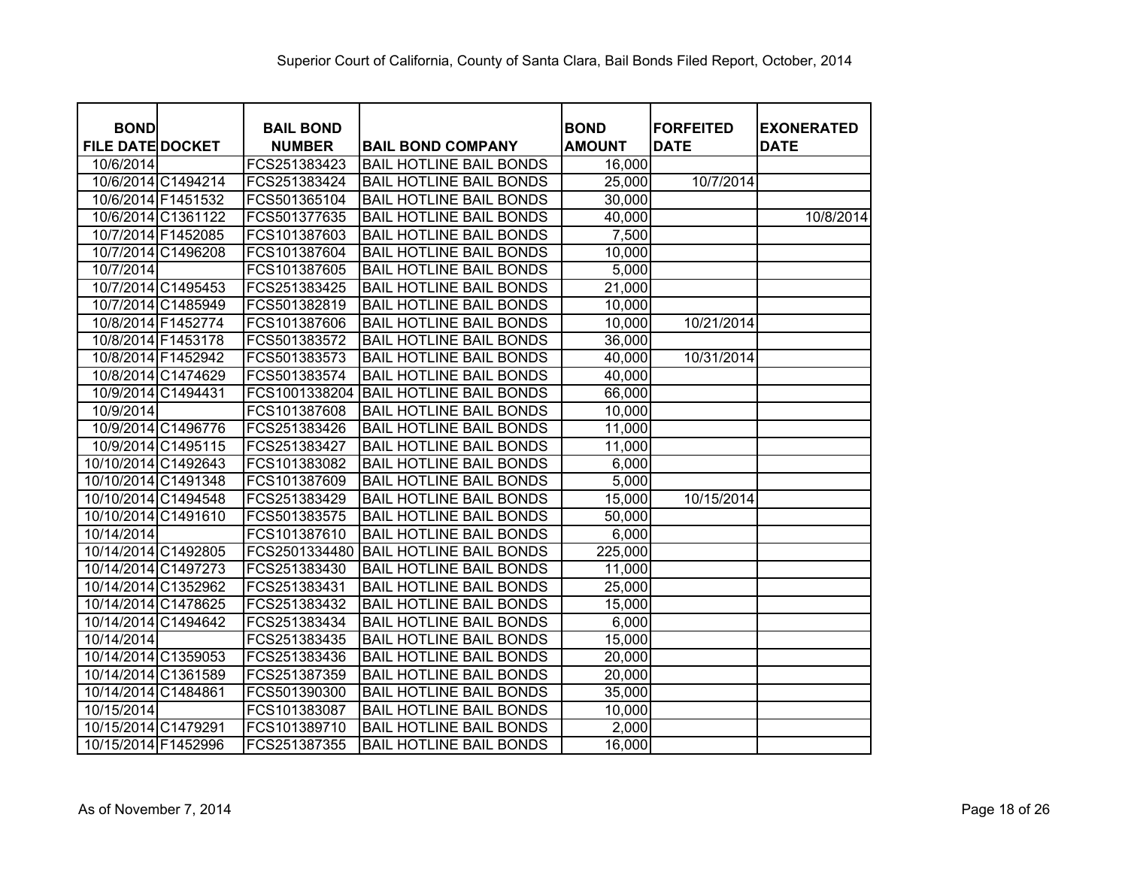| <b>BOND</b>             | <b>BAIL BOND</b> |                                | <b>BOND</b>   | <b>FORFEITED</b> | <b>EXONERATED</b> |
|-------------------------|------------------|--------------------------------|---------------|------------------|-------------------|
| <b>FILE DATE DOCKET</b> | <b>NUMBER</b>    | <b>BAIL BOND COMPANY</b>       | <b>AMOUNT</b> | <b>DATE</b>      | <b>DATE</b>       |
| 10/6/2014               | FCS251383423     | <b>BAIL HOTLINE BAIL BONDS</b> | 16,000        |                  |                   |
| 10/6/2014 C1494214      | FCS251383424     | <b>BAIL HOTLINE BAIL BONDS</b> | 25,000        | 10/7/2014        |                   |
| 10/6/2014 F1451532      | FCS501365104     | <b>BAIL HOTLINE BAIL BONDS</b> | 30,000        |                  |                   |
| 10/6/2014 C1361122      | FCS501377635     | <b>BAIL HOTLINE BAIL BONDS</b> | 40,000        |                  | 10/8/2014         |
| 10/7/2014 F1452085      | FCS101387603     | <b>BAIL HOTLINE BAIL BONDS</b> | 7,500         |                  |                   |
| 10/7/2014 C1496208      | FCS101387604     | <b>BAIL HOTLINE BAIL BONDS</b> | 10,000        |                  |                   |
| 10/7/2014               | FCS101387605     | <b>BAIL HOTLINE BAIL BONDS</b> | 5,000         |                  |                   |
| 10/7/2014 C1495453      | FCS251383425     | <b>BAIL HOTLINE BAIL BONDS</b> | 21,000        |                  |                   |
| 10/7/2014 C1485949      | FCS501382819     | <b>BAIL HOTLINE BAIL BONDS</b> | 10,000        |                  |                   |
| 10/8/2014 F1452774      | FCS101387606     | <b>BAIL HOTLINE BAIL BONDS</b> | 10,000        | 10/21/2014       |                   |
| 10/8/2014 F1453178      | FCS501383572     | <b>BAIL HOTLINE BAIL BONDS</b> | 36,000        |                  |                   |
| 10/8/2014 F1452942      | FCS501383573     | <b>BAIL HOTLINE BAIL BONDS</b> | 40,000        | 10/31/2014       |                   |
| 10/8/2014 C1474629      | FCS501383574     | <b>BAIL HOTLINE BAIL BONDS</b> | 40,000        |                  |                   |
| 10/9/2014 C1494431      | FCS1001338204    | <b>BAIL HOTLINE BAIL BONDS</b> | 66,000        |                  |                   |
| 10/9/2014               | FCS101387608     | <b>BAIL HOTLINE BAIL BONDS</b> | 10,000        |                  |                   |
| 10/9/2014 C1496776      | FCS251383426     | <b>BAIL HOTLINE BAIL BONDS</b> | 11,000        |                  |                   |
| 10/9/2014 C1495115      | FCS251383427     | <b>BAIL HOTLINE BAIL BONDS</b> | 11,000        |                  |                   |
| 10/10/2014 C1492643     | FCS101383082     | <b>BAIL HOTLINE BAIL BONDS</b> | 6,000         |                  |                   |
| 10/10/2014 C1491348     | FCS101387609     | <b>BAIL HOTLINE BAIL BONDS</b> | 5,000         |                  |                   |
| 10/10/2014 C1494548     | FCS251383429     | <b>BAIL HOTLINE BAIL BONDS</b> | 15,000        | 10/15/2014       |                   |
| 10/10/2014 C1491610     | FCS501383575     | <b>BAIL HOTLINE BAIL BONDS</b> | 50,000        |                  |                   |
| 10/14/2014              | FCS101387610     | <b>BAIL HOTLINE BAIL BONDS</b> | 6,000         |                  |                   |
| 10/14/2014 C1492805     | FCS2501334480    | <b>BAIL HOTLINE BAIL BONDS</b> | 225,000       |                  |                   |
| 10/14/2014 C1497273     | FCS251383430     | <b>BAIL HOTLINE BAIL BONDS</b> | 11,000        |                  |                   |
| 10/14/2014 C1352962     | FCS251383431     | <b>BAIL HOTLINE BAIL BONDS</b> | 25,000        |                  |                   |
| 10/14/2014 C1478625     | FCS251383432     | <b>BAIL HOTLINE BAIL BONDS</b> | 15,000        |                  |                   |
| 10/14/2014 C1494642     | FCS251383434     | <b>BAIL HOTLINE BAIL BONDS</b> | 6,000         |                  |                   |
| 10/14/2014              | FCS251383435     | <b>BAIL HOTLINE BAIL BONDS</b> | 15,000        |                  |                   |
| 10/14/2014 C1359053     | FCS251383436     | <b>BAIL HOTLINE BAIL BONDS</b> | 20,000        |                  |                   |
| 10/14/2014 C1361589     | FCS251387359     | <b>BAIL HOTLINE BAIL BONDS</b> | 20,000        |                  |                   |
| 10/14/2014 C1484861     | FCS501390300     | <b>BAIL HOTLINE BAIL BONDS</b> | 35,000        |                  |                   |
| 10/15/2014              | FCS101383087     | <b>BAIL HOTLINE BAIL BONDS</b> | 10,000        |                  |                   |
| 10/15/2014 C1479291     | FCS101389710     | <b>BAIL HOTLINE BAIL BONDS</b> | 2,000         |                  |                   |
| 10/15/2014 F1452996     | FCS251387355     | <b>BAIL HOTLINE BAIL BONDS</b> | 16,000        |                  |                   |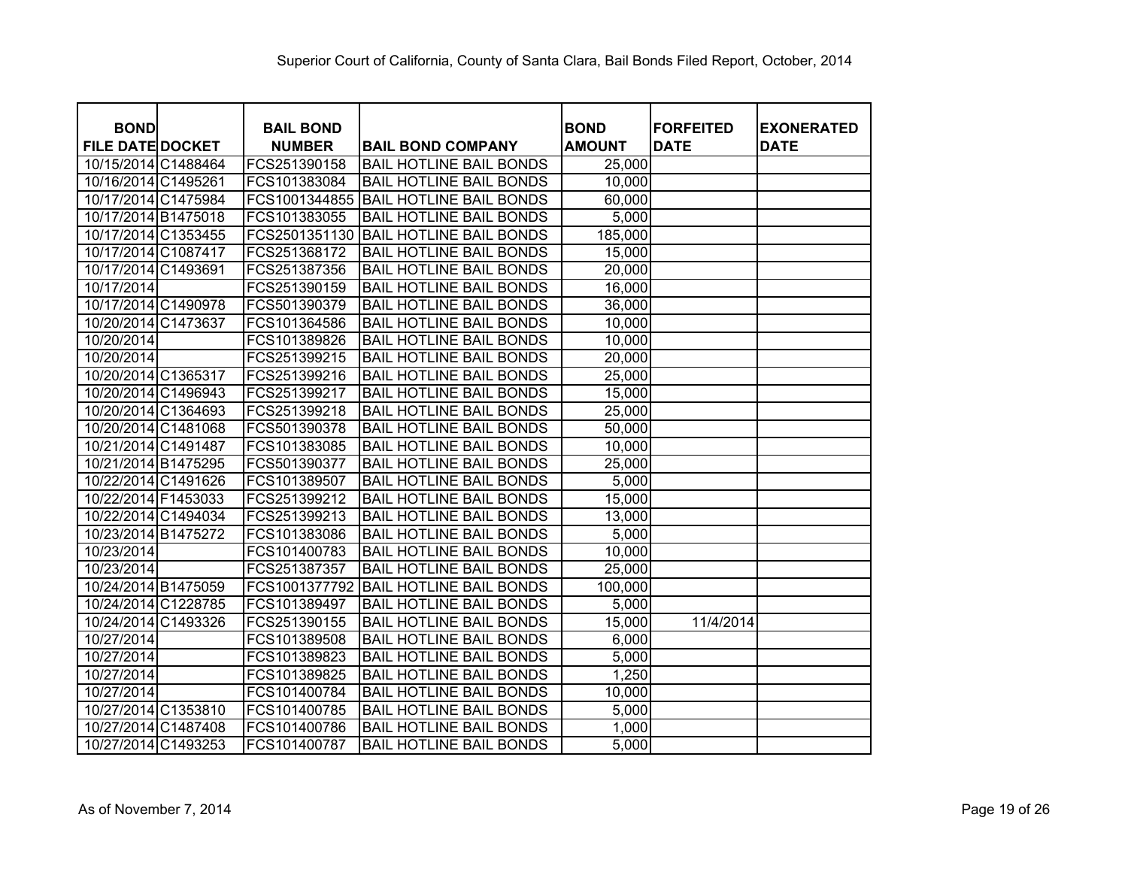| <b>BOND</b>             | <b>BAIL BOND</b> |                                | <b>BOND</b>   | <b>IFORFEITED</b> | <b>EXONERATED</b> |
|-------------------------|------------------|--------------------------------|---------------|-------------------|-------------------|
| <b>FILE DATE DOCKET</b> | <b>NUMBER</b>    | <b>BAIL BOND COMPANY</b>       | <b>AMOUNT</b> | <b>DATE</b>       | <b>DATE</b>       |
| 10/15/2014 C1488464     | FCS251390158     | <b>BAIL HOTLINE BAIL BONDS</b> | 25,000        |                   |                   |
| 10/16/2014 C1495261     | FCS101383084     | <b>BAIL HOTLINE BAIL BONDS</b> | 10,000        |                   |                   |
| 10/17/2014 C1475984     | FCS1001344855    | <b>BAIL HOTLINE BAIL BONDS</b> | 60,000        |                   |                   |
| 10/17/2014 B1475018     | FCS101383055     | <b>BAIL HOTLINE BAIL BONDS</b> | 5,000         |                   |                   |
| 10/17/2014 C1353455     | FCS2501351130    | <b>BAIL HOTLINE BAIL BONDS</b> | 185,000       |                   |                   |
| 10/17/2014 C1087417     | FCS251368172     | <b>BAIL HOTLINE BAIL BONDS</b> | 15,000        |                   |                   |
| 10/17/2014 C1493691     | FCS251387356     | <b>BAIL HOTLINE BAIL BONDS</b> | 20,000        |                   |                   |
| 10/17/2014              | FCS251390159     | <b>BAIL HOTLINE BAIL BONDS</b> | 16,000        |                   |                   |
| 10/17/2014 C1490978     | FCS501390379     | <b>BAIL HOTLINE BAIL BONDS</b> | 36,000        |                   |                   |
| 10/20/2014 C1473637     | FCS101364586     | <b>BAIL HOTLINE BAIL BONDS</b> | 10,000        |                   |                   |
| 10/20/2014              | FCS101389826     | <b>BAIL HOTLINE BAIL BONDS</b> | 10,000        |                   |                   |
| 10/20/2014              | FCS251399215     | <b>BAIL HOTLINE BAIL BONDS</b> | 20,000        |                   |                   |
| 10/20/2014 C1365317     | FCS251399216     | <b>BAIL HOTLINE BAIL BONDS</b> | 25,000        |                   |                   |
| 10/20/2014 C1496943     | FCS251399217     | <b>BAIL HOTLINE BAIL BONDS</b> | 15,000        |                   |                   |
| 10/20/2014 C1364693     | FCS251399218     | <b>BAIL HOTLINE BAIL BONDS</b> | 25,000        |                   |                   |
| 10/20/2014 C1481068     | FCS501390378     | <b>BAIL HOTLINE BAIL BONDS</b> | 50,000        |                   |                   |
| 10/21/2014 C1491487     | FCS101383085     | <b>BAIL HOTLINE BAIL BONDS</b> | 10,000        |                   |                   |
| 10/21/2014 B1475295     | FCS501390377     | <b>BAIL HOTLINE BAIL BONDS</b> | 25,000        |                   |                   |
| 10/22/2014 C1491626     | FCS101389507     | <b>BAIL HOTLINE BAIL BONDS</b> | 5,000         |                   |                   |
| 10/22/2014 F1453033     | FCS251399212     | <b>BAIL HOTLINE BAIL BONDS</b> | 15,000        |                   |                   |
| 10/22/2014 C1494034     | FCS251399213     | <b>BAIL HOTLINE BAIL BONDS</b> | 13,000        |                   |                   |
| 10/23/2014 B1475272     | FCS101383086     | <b>BAIL HOTLINE BAIL BONDS</b> | 5,000         |                   |                   |
| 10/23/2014              | FCS101400783     | <b>BAIL HOTLINE BAIL BONDS</b> | 10,000        |                   |                   |
| 10/23/2014              | FCS251387357     | <b>BAIL HOTLINE BAIL BONDS</b> | 25,000        |                   |                   |
| 10/24/2014 B1475059     | FCS1001377792    | <b>BAIL HOTLINE BAIL BONDS</b> | 100,000       |                   |                   |
| 10/24/2014 C1228785     | FCS101389497     | <b>BAIL HOTLINE BAIL BONDS</b> | 5,000         |                   |                   |
| 10/24/2014 C1493326     | FCS251390155     | <b>BAIL HOTLINE BAIL BONDS</b> | 15,000        | 11/4/2014         |                   |
| 10/27/2014              | FCS101389508     | <b>BAIL HOTLINE BAIL BONDS</b> | 6,000         |                   |                   |
| 10/27/2014              | FCS101389823     | <b>BAIL HOTLINE BAIL BONDS</b> | 5,000         |                   |                   |
| 10/27/2014              | FCS101389825     | <b>BAIL HOTLINE BAIL BONDS</b> | 1,250         |                   |                   |
| 10/27/2014              | FCS101400784     | <b>BAIL HOTLINE BAIL BONDS</b> | 10,000        |                   |                   |
| 10/27/2014 C1353810     | FCS101400785     | <b>BAIL HOTLINE BAIL BONDS</b> | 5,000         |                   |                   |
| 10/27/2014 C1487408     | FCS101400786     | <b>BAIL HOTLINE BAIL BONDS</b> | 1,000         |                   |                   |
| 10/27/2014 C1493253     | FCS101400787     | <b>BAIL HOTLINE BAIL BONDS</b> | 5,000         |                   |                   |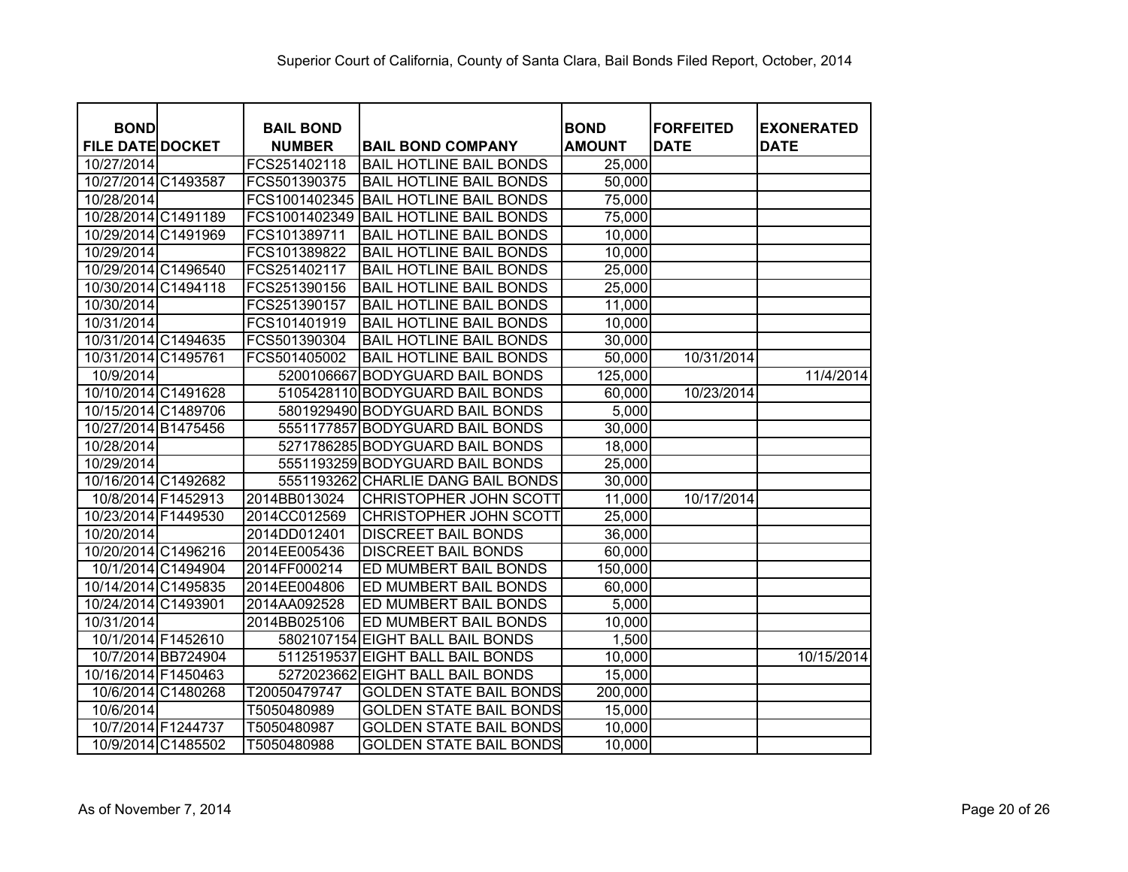| <b>BOND</b>             | <b>BAIL BOND</b> |                                    | <b>BOND</b>   | <b>FORFEITED</b> | <b>EXONERATED</b> |
|-------------------------|------------------|------------------------------------|---------------|------------------|-------------------|
| <b>FILE DATE DOCKET</b> | <b>NUMBER</b>    | <b>BAIL BOND COMPANY</b>           | <b>AMOUNT</b> | <b>DATE</b>      | <b>DATE</b>       |
| 10/27/2014              | FCS251402118     | <b>BAIL HOTLINE BAIL BONDS</b>     | 25,000        |                  |                   |
| 10/27/2014 C1493587     | FCS501390375     | <b>BAIL HOTLINE BAIL BONDS</b>     | 50,000        |                  |                   |
| 10/28/2014              | FCS1001402345    | <b>BAIL HOTLINE BAIL BONDS</b>     | 75,000        |                  |                   |
| 10/28/2014 C1491189     | FCS1001402349    | <b>BAIL HOTLINE BAIL BONDS</b>     | 75,000        |                  |                   |
| 10/29/2014 C1491969     | FCS101389711     | <b>BAIL HOTLINE BAIL BONDS</b>     | 10,000        |                  |                   |
| 10/29/2014              | FCS101389822     | <b>BAIL HOTLINE BAIL BONDS</b>     | 10,000        |                  |                   |
| 10/29/2014 C1496540     | FCS251402117     | <b>BAIL HOTLINE BAIL BONDS</b>     | 25,000        |                  |                   |
| 10/30/2014 C1494118     | FCS251390156     | <b>BAIL HOTLINE BAIL BONDS</b>     | 25,000        |                  |                   |
| 10/30/2014              | FCS251390157     | <b>BAIL HOTLINE BAIL BONDS</b>     | 11,000        |                  |                   |
| 10/31/2014              | FCS101401919     | <b>BAIL HOTLINE BAIL BONDS</b>     | 10,000        |                  |                   |
| 10/31/2014 C1494635     | FCS501390304     | <b>BAIL HOTLINE BAIL BONDS</b>     | 30,000        |                  |                   |
| 10/31/2014 C1495761     | FCS501405002     | <b>BAIL HOTLINE BAIL BONDS</b>     | 50,000        | 10/31/2014       |                   |
| 10/9/2014               | 5200106667       | <b>BODYGUARD BAIL BONDS</b>        | 125,000       |                  | 11/4/2014         |
| 10/10/2014 C1491628     |                  | 5105428110 BODYGUARD BAIL BONDS    | 60,000        | 10/23/2014       |                   |
| 10/15/2014 C1489706     |                  | 5801929490 BODYGUARD BAIL BONDS    | 5,000         |                  |                   |
| 10/27/2014 B1475456     |                  | 5551177857 BODYGUARD BAIL BONDS    | 30,000        |                  |                   |
| 10/28/2014              |                  | 5271786285 BODYGUARD BAIL BONDS    | 18,000        |                  |                   |
| 10/29/2014              |                  | 5551193259 BODYGUARD BAIL BONDS    | 25,000        |                  |                   |
| 10/16/2014 C1492682     |                  | 5551193262 CHARLIE DANG BAIL BONDS | 30,000        |                  |                   |
| 10/8/2014 F1452913      | 2014BB013024     | CHRISTOPHER JOHN SCOTT             | 11,000        | 10/17/2014       |                   |
| 10/23/2014 F1449530     | 2014CC012569     | CHRISTOPHER JOHN SCOTT             | 25,000        |                  |                   |
| 10/20/2014              | 2014DD012401     | <b>DISCREET BAIL BONDS</b>         | 36,000        |                  |                   |
| 10/20/2014 C1496216     | 2014EE005436     | <b>DISCREET BAIL BONDS</b>         | 60,000        |                  |                   |
| 10/1/2014 C1494904      | 2014FF000214     | ED MUMBERT BAIL BONDS              | 150,000       |                  |                   |
| 10/14/2014 C1495835     | 2014EE004806     | ED MUMBERT BAIL BONDS              | 60,000        |                  |                   |
| 10/24/2014 C1493901     | 2014AA092528     | ED MUMBERT BAIL BONDS              | 5,000         |                  |                   |
| 10/31/2014              | 2014BB025106     | ED MUMBERT BAIL BONDS              | 10,000        |                  |                   |
| 10/1/2014 F1452610      |                  | 5802107154 EIGHT BALL BAIL BONDS   | 1,500         |                  |                   |
| 10/7/2014 BB724904      |                  | 5112519537 EIGHT BALL BAIL BONDS   | 10,000        |                  | 10/15/2014        |
| 10/16/2014 F1450463     |                  | 5272023662 EIGHT BALL BAIL BONDS   | 15,000        |                  |                   |
| 10/6/2014 C1480268      | T20050479747     | <b>GOLDEN STATE BAIL BONDS</b>     | 200,000       |                  |                   |
| 10/6/2014               | T5050480989      | <b>GOLDEN STATE BAIL BONDS</b>     | 15,000        |                  |                   |
| 10/7/2014 F1244737      | T5050480987      | <b>GOLDEN STATE BAIL BONDS</b>     | 10,000        |                  |                   |
| 10/9/2014 C1485502      | T5050480988      | <b>GOLDEN STATE BAIL BONDS</b>     | 10,000        |                  |                   |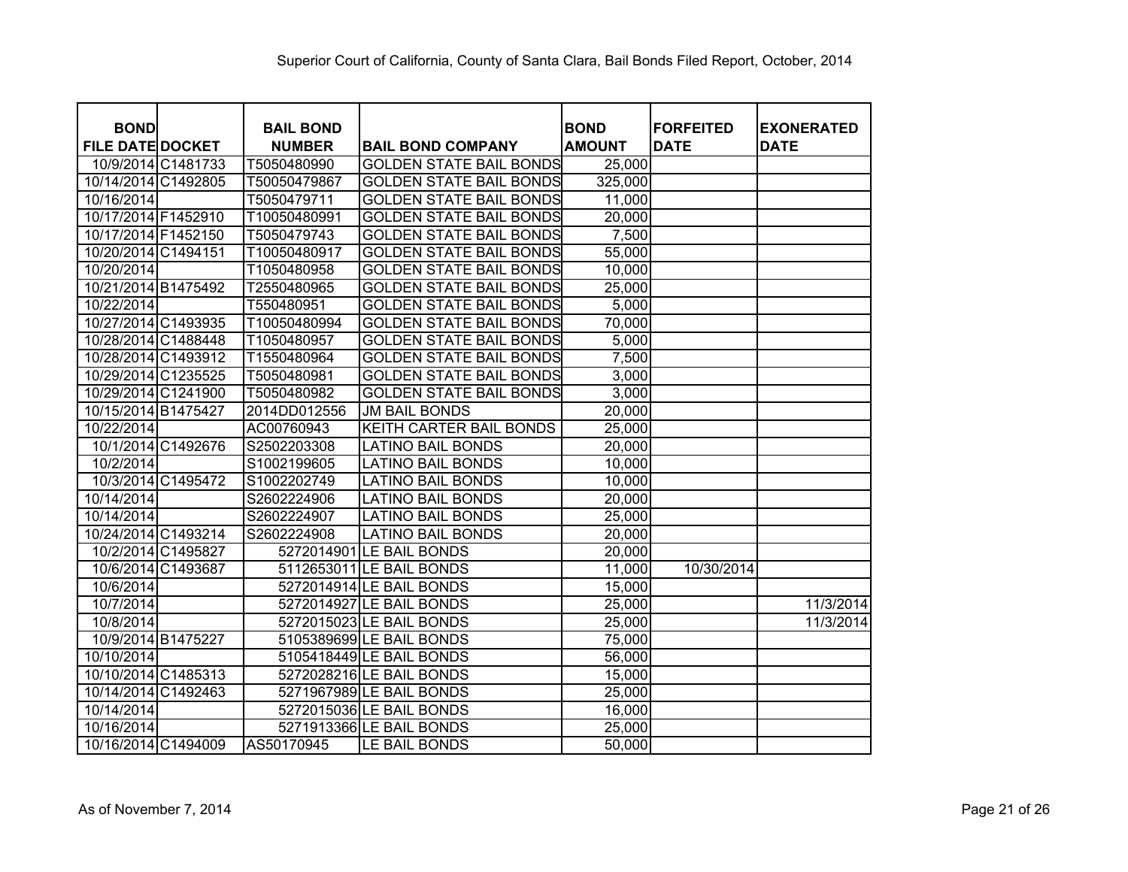| <b>BOND</b>             | <b>BAIL BOND</b> |                                | <b>BOND</b>   | <b>FORFEITED</b> | <b>EXONERATED</b> |
|-------------------------|------------------|--------------------------------|---------------|------------------|-------------------|
| <b>FILE DATE DOCKET</b> | <b>NUMBER</b>    | <b>BAIL BOND COMPANY</b>       | <b>AMOUNT</b> | <b>DATE</b>      | <b>DATE</b>       |
| 10/9/2014 C1481733      | T5050480990      | <b>GOLDEN STATE BAIL BONDS</b> | 25,000        |                  |                   |
| 10/14/2014 C1492805     | T50050479867     | <b>GOLDEN STATE BAIL BONDS</b> | 325,000       |                  |                   |
| 10/16/2014              | T5050479711      | <b>GOLDEN STATE BAIL BONDS</b> | 11,000        |                  |                   |
| 10/17/2014 F1452910     | T10050480991     | <b>GOLDEN STATE BAIL BONDS</b> | 20,000        |                  |                   |
| 10/17/2014 F1452150     | T5050479743      | <b>GOLDEN STATE BAIL BONDS</b> | 7,500         |                  |                   |
| 10/20/2014 C1494151     | T10050480917     | <b>GOLDEN STATE BAIL BONDS</b> | 55,000        |                  |                   |
| 10/20/2014              | T1050480958      | <b>GOLDEN STATE BAIL BONDS</b> | 10,000        |                  |                   |
| 10/21/2014 B1475492     | T2550480965      | <b>GOLDEN STATE BAIL BONDS</b> | 25,000        |                  |                   |
| 10/22/2014              | T550480951       | <b>GOLDEN STATE BAIL BONDS</b> | 5,000         |                  |                   |
| 10/27/2014 C1493935     | T10050480994     | <b>GOLDEN STATE BAIL BONDS</b> | 70,000        |                  |                   |
| 10/28/2014 C1488448     | T1050480957      | <b>GOLDEN STATE BAIL BONDS</b> | 5,000         |                  |                   |
| 10/28/2014 C1493912     | T1550480964      | <b>GOLDEN STATE BAIL BONDS</b> | 7,500         |                  |                   |
| 10/29/2014 C1235525     | T5050480981      | <b>GOLDEN STATE BAIL BONDS</b> | 3,000         |                  |                   |
| 10/29/2014 C1241900     | T5050480982      | <b>GOLDEN STATE BAIL BONDS</b> | 3,000         |                  |                   |
| 10/15/2014 B1475427     | 2014DD012556     | <b>JM BAIL BONDS</b>           | 20,000        |                  |                   |
| 10/22/2014              | AC00760943       | KEITH CARTER BAIL BONDS        | 25,000        |                  |                   |
| 10/1/2014 C1492676      | S2502203308      | <b>LATINO BAIL BONDS</b>       | 20,000        |                  |                   |
| 10/2/2014               | S1002199605      | <b>LATINO BAIL BONDS</b>       | 10,000        |                  |                   |
| 10/3/2014 C1495472      | S1002202749      | <b>LATINO BAIL BONDS</b>       | 10,000        |                  |                   |
| 10/14/2014              | S2602224906      | <b>LATINO BAIL BONDS</b>       | 20,000        |                  |                   |
| 10/14/2014              | S2602224907      | <b>LATINO BAIL BONDS</b>       | 25,000        |                  |                   |
| 10/24/2014 C1493214     | S2602224908      | <b>LATINO BAIL BONDS</b>       | 20,000        |                  |                   |
| 10/2/2014 C1495827      |                  | 5272014901 LE BAIL BONDS       | 20,000        |                  |                   |
| 10/6/2014 C1493687      |                  | 5112653011 LE BAIL BONDS       | 11,000        | 10/30/2014       |                   |
| 10/6/2014               |                  | 5272014914 LE BAIL BONDS       | 15,000        |                  |                   |
| 10/7/2014               |                  | 5272014927 LE BAIL BONDS       | 25,000        |                  | 11/3/2014         |
| 10/8/2014               |                  | 5272015023 LE BAIL BONDS       | 25,000        |                  | 11/3/2014         |
| 10/9/2014 B1475227      |                  | 5105389699 LE BAIL BONDS       | 75,000        |                  |                   |
| 10/10/2014              |                  | 5105418449 LE BAIL BONDS       | 56,000        |                  |                   |
| 10/10/2014 C1485313     |                  | 5272028216 LE BAIL BONDS       | 15,000        |                  |                   |
| 10/14/2014 C1492463     |                  | 5271967989 LE BAIL BONDS       | 25,000        |                  |                   |
| 10/14/2014              |                  | 5272015036 LE BAIL BONDS       | 16,000        |                  |                   |
| 10/16/2014              |                  | 5271913366 LE BAIL BONDS       | 25,000        |                  |                   |
| 10/16/2014 C1494009     | AS50170945       | LE BAIL BONDS                  | 50,000        |                  |                   |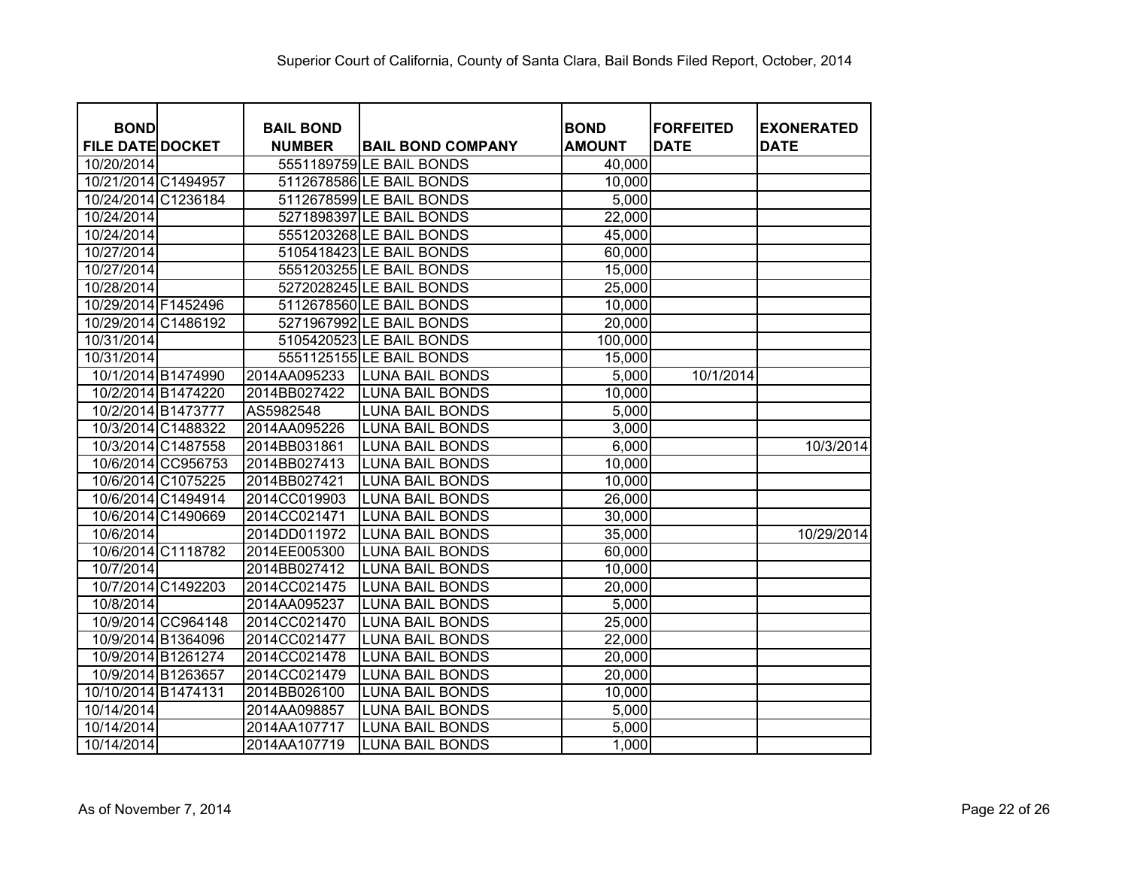| <b>BOND</b>             | <b>BAIL BOND</b> |                          | <b>BOND</b>   | <b>FORFEITED</b> | <b>EXONERATED</b> |
|-------------------------|------------------|--------------------------|---------------|------------------|-------------------|
| <b>FILE DATE DOCKET</b> | <b>NUMBER</b>    | <b>BAIL BOND COMPANY</b> | <b>AMOUNT</b> | <b>DATE</b>      | <b>DATE</b>       |
| 10/20/2014              |                  | 5551189759 LE BAIL BONDS | 40,000        |                  |                   |
| 10/21/2014 C1494957     |                  | 5112678586 LE BAIL BONDS | 10,000        |                  |                   |
| 10/24/2014 C1236184     |                  | 5112678599 LE BAIL BONDS | 5,000         |                  |                   |
| 10/24/2014              |                  | 5271898397 LE BAIL BONDS | 22,000        |                  |                   |
| 10/24/2014              |                  | 5551203268 LE BAIL BONDS | 45,000        |                  |                   |
| 10/27/2014              |                  | 5105418423 LE BAIL BONDS | 60,000        |                  |                   |
| 10/27/2014              |                  | 5551203255 LE BAIL BONDS | 15,000        |                  |                   |
| 10/28/2014              |                  | 5272028245 LE BAIL BONDS | 25,000        |                  |                   |
| 10/29/2014 F1452496     |                  | 5112678560 LE BAIL BONDS | 10,000        |                  |                   |
| 10/29/2014 C1486192     |                  | 5271967992 LE BAIL BONDS | 20,000        |                  |                   |
| 10/31/2014              |                  | 5105420523 LE BAIL BONDS | 100,000       |                  |                   |
| 10/31/2014              |                  | 5551125155 LE BAIL BONDS | 15,000        |                  |                   |
| 10/1/2014 B1474990      | 2014AA095233     | <b>LUNA BAIL BONDS</b>   | 5,000         | 10/1/2014        |                   |
| 10/2/2014 B1474220      | 2014BB027422     | <b>LUNA BAIL BONDS</b>   | 10,000        |                  |                   |
| 10/2/2014 B1473777      | AS5982548        | <b>LUNA BAIL BONDS</b>   | 5,000         |                  |                   |
| 10/3/2014 C1488322      | 2014AA095226     | <b>LUNA BAIL BONDS</b>   | 3,000         |                  |                   |
| 10/3/2014 C1487558      | 2014BB031861     | <b>LUNA BAIL BONDS</b>   | 6,000         |                  | 10/3/2014         |
| 10/6/2014 CC956753      | 2014BB027413     | <b>LUNA BAIL BONDS</b>   | 10,000        |                  |                   |
| 10/6/2014 C1075225      | 2014BB027421     | <b>LUNA BAIL BONDS</b>   | 10,000        |                  |                   |
| 10/6/2014 C1494914      | 2014CC019903     | <b>LUNA BAIL BONDS</b>   | 26,000        |                  |                   |
| 10/6/2014 C1490669      | 2014CC021471     | <b>LUNA BAIL BONDS</b>   | 30,000        |                  |                   |
| 10/6/2014               | 2014DD011972     | <b>LUNA BAIL BONDS</b>   | 35,000        |                  | 10/29/2014        |
| 10/6/2014 C1118782      | 2014EE005300     | <b>LUNA BAIL BONDS</b>   | 60,000        |                  |                   |
| 10/7/2014               | 2014BB027412     | <b>LUNA BAIL BONDS</b>   | 10,000        |                  |                   |
| 10/7/2014 C1492203      | 2014CC021475     | <b>LUNA BAIL BONDS</b>   | 20,000        |                  |                   |
| 10/8/2014               | 2014AA095237     | <b>LUNA BAIL BONDS</b>   | 5,000         |                  |                   |
| 10/9/2014 CC964148      | 2014CC021470     | <b>LUNA BAIL BONDS</b>   | 25,000        |                  |                   |
| 10/9/2014 B1364096      | 2014CC021477     | <b>LUNA BAIL BONDS</b>   | 22,000        |                  |                   |
| 10/9/2014 B1261274      | 2014CC021478     | <b>LUNA BAIL BONDS</b>   | 20,000        |                  |                   |
| 10/9/2014 B1263657      | 2014CC021479     | <b>LUNA BAIL BONDS</b>   | 20,000        |                  |                   |
| 10/10/2014 B1474131     | 2014BB026100     | <b>LUNA BAIL BONDS</b>   | 10,000        |                  |                   |
| 10/14/2014              | 2014AA098857     | <b>LUNA BAIL BONDS</b>   | 5,000         |                  |                   |
| 10/14/2014              | 2014AA107717     | <b>LUNA BAIL BONDS</b>   | 5,000         |                  |                   |
| 10/14/2014              | 2014AA107719     | <b>LUNA BAIL BONDS</b>   | 1,000         |                  |                   |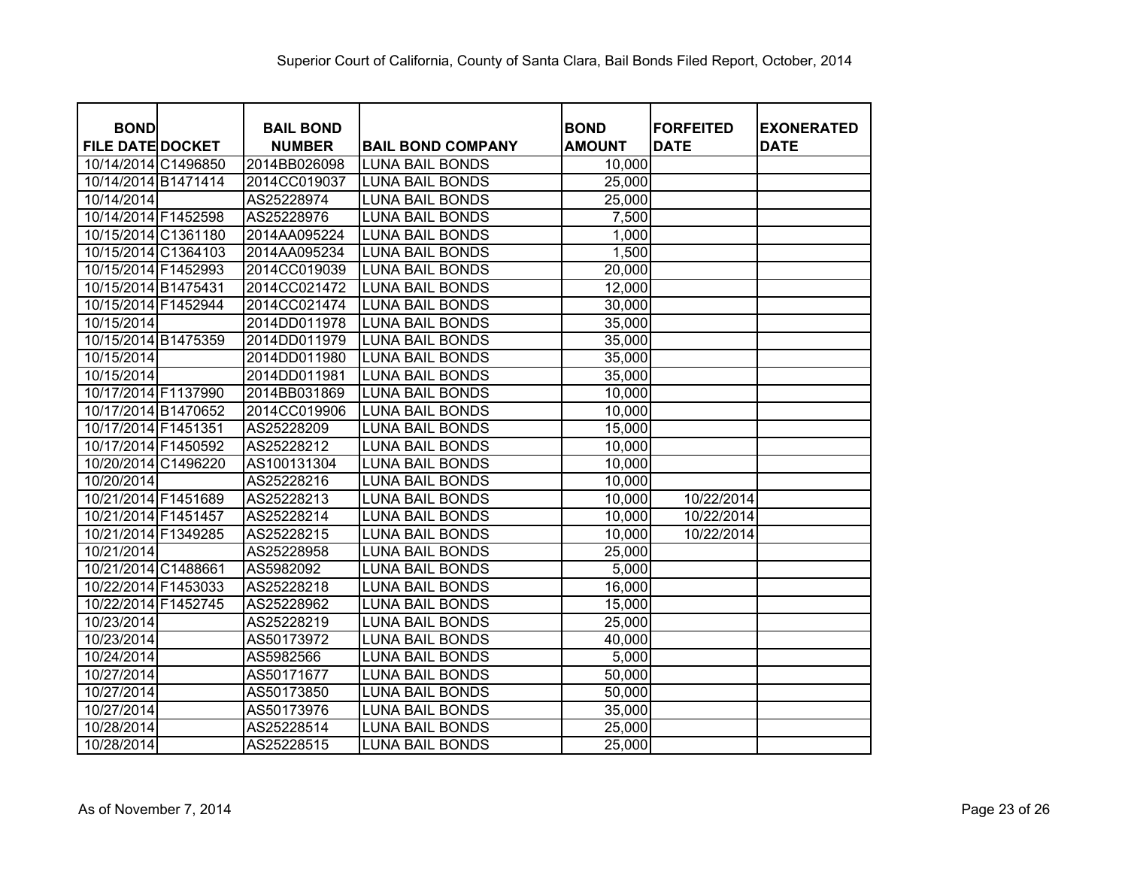| <b>BOND</b>             | <b>BAIL BOND</b> |                          |                              | <b>FORFEITED</b> |                                  |
|-------------------------|------------------|--------------------------|------------------------------|------------------|----------------------------------|
| <b>FILE DATE DOCKET</b> | <b>NUMBER</b>    | <b>BAIL BOND COMPANY</b> | <b>BOND</b><br><b>AMOUNT</b> | <b>DATE</b>      | <b>EXONERATED</b><br><b>DATE</b> |
| 10/14/2014 C1496850     | 2014BB026098     | <b>LUNA BAIL BONDS</b>   | 10,000                       |                  |                                  |
| 10/14/2014 B1471414     | 2014CC019037     | <b>LUNA BAIL BONDS</b>   | 25,000                       |                  |                                  |
| 10/14/2014              | AS25228974       | <b>LUNA BAIL BONDS</b>   | 25,000                       |                  |                                  |
| 10/14/2014 F1452598     | AS25228976       | <b>LUNA BAIL BONDS</b>   | 7,500                        |                  |                                  |
| 10/15/2014 C1361180     | 2014AA095224     | <b>LUNA BAIL BONDS</b>   | 1,000                        |                  |                                  |
| 10/15/2014 C1364103     | 2014AA095234     | <b>LUNA BAIL BONDS</b>   | 1,500                        |                  |                                  |
| 10/15/2014 F1452993     | 2014CC019039     | <b>LUNA BAIL BONDS</b>   | 20,000                       |                  |                                  |
| 10/15/2014 B1475431     | 2014CC021472     | <b>LUNA BAIL BONDS</b>   | 12,000                       |                  |                                  |
| 10/15/2014 F1452944     | 2014CC021474     | <b>LUNA BAIL BONDS</b>   | 30,000                       |                  |                                  |
| 10/15/2014              | 2014DD011978     | <b>LUNA BAIL BONDS</b>   | 35,000                       |                  |                                  |
| 10/15/2014 B1475359     | 2014DD011979     | <b>LUNA BAIL BONDS</b>   | 35,000                       |                  |                                  |
| 10/15/2014              | 2014DD011980     | <b>LUNA BAIL BONDS</b>   | 35,000                       |                  |                                  |
| 10/15/2014              | 2014DD011981     | <b>LUNA BAIL BONDS</b>   | 35,000                       |                  |                                  |
| 10/17/2014 F1137990     | 2014BB031869     | <b>LUNA BAIL BONDS</b>   | 10,000                       |                  |                                  |
| 10/17/2014 B1470652     | 2014CC019906     | <b>LUNA BAIL BONDS</b>   | 10,000                       |                  |                                  |
| 10/17/2014 F1451351     | AS25228209       | <b>LUNA BAIL BONDS</b>   | 15,000                       |                  |                                  |
| 10/17/2014 F1450592     | AS25228212       | <b>LUNA BAIL BONDS</b>   | 10,000                       |                  |                                  |
| 10/20/2014 C1496220     | AS100131304      | <b>LUNA BAIL BONDS</b>   | 10,000                       |                  |                                  |
| 10/20/2014              | AS25228216       | <b>LUNA BAIL BONDS</b>   | 10,000                       |                  |                                  |
| 10/21/2014 F1451689     | AS25228213       | <b>LUNA BAIL BONDS</b>   | 10,000                       | 10/22/2014       |                                  |
| 10/21/2014 F1451457     | AS25228214       | <b>LUNA BAIL BONDS</b>   | 10,000                       | 10/22/2014       |                                  |
| 10/21/2014 F1349285     | AS25228215       | <b>LUNA BAIL BONDS</b>   | 10,000                       | 10/22/2014       |                                  |
| 10/21/2014              | AS25228958       | <b>LUNA BAIL BONDS</b>   | 25,000                       |                  |                                  |
| 10/21/2014 C1488661     | AS5982092        | <b>LUNA BAIL BONDS</b>   | 5,000                        |                  |                                  |
| 10/22/2014 F1453033     | AS25228218       | <b>LUNA BAIL BONDS</b>   | 16,000                       |                  |                                  |
| 10/22/2014 F1452745     | AS25228962       | <b>LUNA BAIL BONDS</b>   | 15,000                       |                  |                                  |
| 10/23/2014              | AS25228219       | <b>LUNA BAIL BONDS</b>   | 25,000                       |                  |                                  |
| 10/23/2014              | AS50173972       | <b>LUNA BAIL BONDS</b>   | 40,000                       |                  |                                  |
| 10/24/2014              | AS5982566        | <b>LUNA BAIL BONDS</b>   | 5,000                        |                  |                                  |
| 10/27/2014              | AS50171677       | <b>LUNA BAIL BONDS</b>   | 50,000                       |                  |                                  |
| 10/27/2014              | AS50173850       | <b>LUNA BAIL BONDS</b>   | 50,000                       |                  |                                  |
| 10/27/2014              | AS50173976       | <b>LUNA BAIL BONDS</b>   | 35,000                       |                  |                                  |
| 10/28/2014              | AS25228514       | <b>LUNA BAIL BONDS</b>   | 25,000                       |                  |                                  |
| 10/28/2014              | AS25228515       | <b>LUNA BAIL BONDS</b>   | 25,000                       |                  |                                  |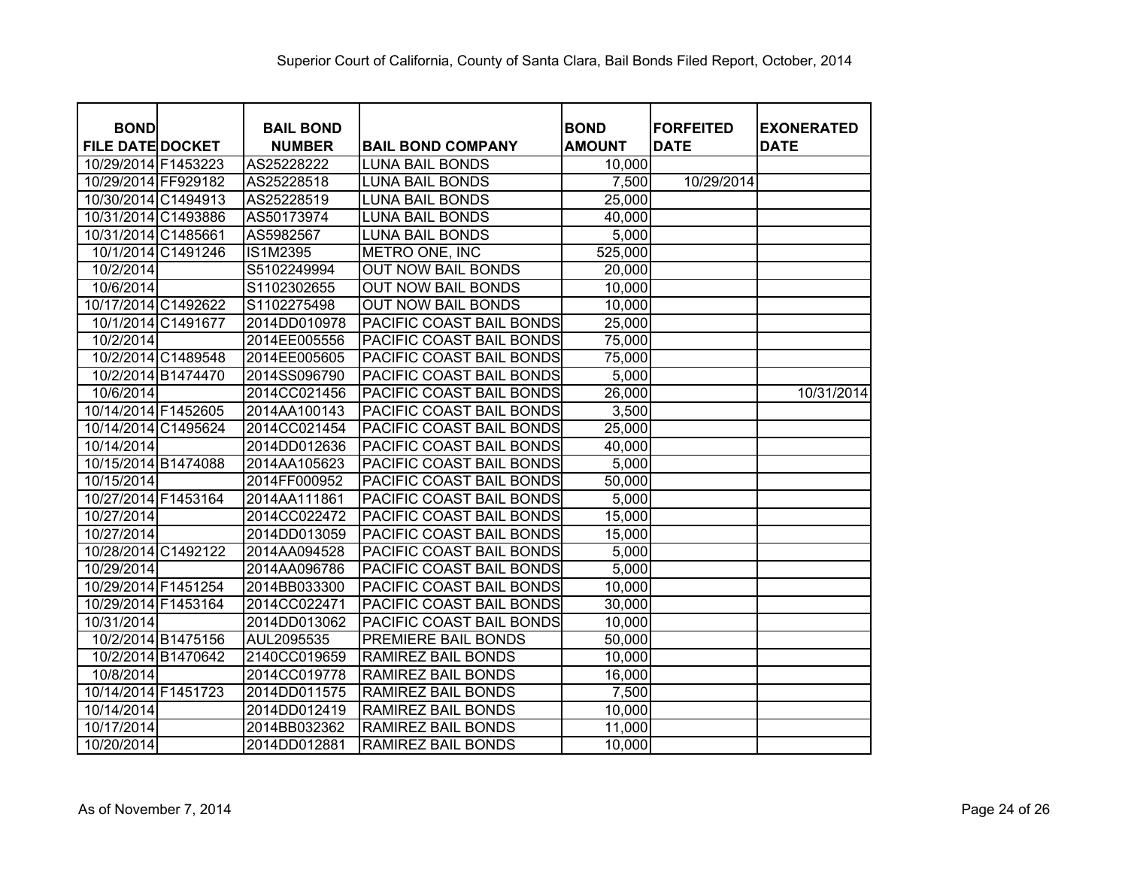| <b>BOND</b>             | <b>BAIL BOND</b> |                           | <b>BOND</b>   | <b>FORFEITED</b> | <b>EXONERATED</b> |
|-------------------------|------------------|---------------------------|---------------|------------------|-------------------|
| <b>FILE DATE DOCKET</b> | <b>NUMBER</b>    | <b>BAIL BOND COMPANY</b>  | <b>AMOUNT</b> | <b>DATE</b>      | <b>DATE</b>       |
| 10/29/2014 F1453223     | AS25228222       | <b>LUNA BAIL BONDS</b>    | 10,000        |                  |                   |
| 10/29/2014 FF929182     | AS25228518       | <b>LUNA BAIL BONDS</b>    | 7,500         | 10/29/2014       |                   |
| 10/30/2014 C1494913     | AS25228519       | <b>LUNA BAIL BONDS</b>    | 25,000        |                  |                   |
| 10/31/2014 C1493886     | AS50173974       | <b>LUNA BAIL BONDS</b>    | 40,000        |                  |                   |
| 10/31/2014 C1485661     | AS5982567        | <b>LUNA BAIL BONDS</b>    | 5,000         |                  |                   |
| 10/1/2014 C1491246      | <b>IS1M2395</b>  | METRO ONE, INC            | 525,000       |                  |                   |
| 10/2/2014               | S5102249994      | <b>OUT NOW BAIL BONDS</b> | 20,000        |                  |                   |
| 10/6/2014               | S1102302655      | <b>OUT NOW BAIL BONDS</b> | 10,000        |                  |                   |
| 10/17/2014 C1492622     | S1102275498      | <b>OUT NOW BAIL BONDS</b> | 10,000        |                  |                   |
| 10/1/2014 C1491677      | 2014DD010978     | PACIFIC COAST BAIL BONDS  | 25,000        |                  |                   |
| 10/2/2014               | 2014EE005556     | PACIFIC COAST BAIL BONDS  | 75,000        |                  |                   |
| 10/2/2014 C1489548      | 2014EE005605     | PACIFIC COAST BAIL BONDS  | 75,000        |                  |                   |
| 10/2/2014 B1474470      | 2014SS096790     | PACIFIC COAST BAIL BONDS  | 5,000         |                  |                   |
| 10/6/2014               | 2014CC021456     | PACIFIC COAST BAIL BONDS  | 26,000        |                  | 10/31/2014        |
| 10/14/2014 F1452605     | 2014AA100143     | PACIFIC COAST BAIL BONDS  | 3,500         |                  |                   |
| 10/14/2014 C1495624     | 2014CC021454     | PACIFIC COAST BAIL BONDS  | 25,000        |                  |                   |
| 10/14/2014              | 2014DD012636     | PACIFIC COAST BAIL BONDS  | 40,000        |                  |                   |
| 10/15/2014 B1474088     | 2014AA105623     | PACIFIC COAST BAIL BONDS  | 5,000         |                  |                   |
| 10/15/2014              | 2014FF000952     | PACIFIC COAST BAIL BONDS  | 50,000        |                  |                   |
| 10/27/2014 F1453164     | 2014AA111861     | PACIFIC COAST BAIL BONDS  | 5,000         |                  |                   |
| 10/27/2014              | 2014CC022472     | PACIFIC COAST BAIL BONDS  | 15,000        |                  |                   |
| 10/27/2014              | 2014DD013059     | PACIFIC COAST BAIL BONDS  | 15,000        |                  |                   |
| 10/28/2014 C1492122     | 2014AA094528     | PACIFIC COAST BAIL BONDS  | 5,000         |                  |                   |
| 10/29/2014              | 2014AA096786     | PACIFIC COAST BAIL BONDS  | 5,000         |                  |                   |
| 10/29/2014 F1451254     | 2014BB033300     | PACIFIC COAST BAIL BONDS  | 10,000        |                  |                   |
| 10/29/2014 F1453164     | 2014CC022471     | PACIFIC COAST BAIL BONDS  | 30,000        |                  |                   |
| 10/31/2014              | 2014DD013062     | PACIFIC COAST BAIL BONDS  | 10,000        |                  |                   |
| 10/2/2014 B1475156      | AUL2095535       | PREMIERE BAIL BONDS       | 50,000        |                  |                   |
| 10/2/2014 B1470642      | 2140CC019659     | <b>RAMIREZ BAIL BONDS</b> | 10,000        |                  |                   |
| 10/8/2014               | 2014CC019778     | <b>RAMIREZ BAIL BONDS</b> | 16,000        |                  |                   |
| 10/14/2014 F1451723     | 2014DD011575     | RAMIREZ BAIL BONDS        | 7,500         |                  |                   |
| 10/14/2014              | 2014DD012419     | RAMIREZ BAIL BONDS        | 10,000        |                  |                   |
| 10/17/2014              | 2014BB032362     | RAMIREZ BAIL BONDS        | 11,000        |                  |                   |
| 10/20/2014              | 2014DD012881     | RAMIREZ BAIL BONDS        | 10,000        |                  |                   |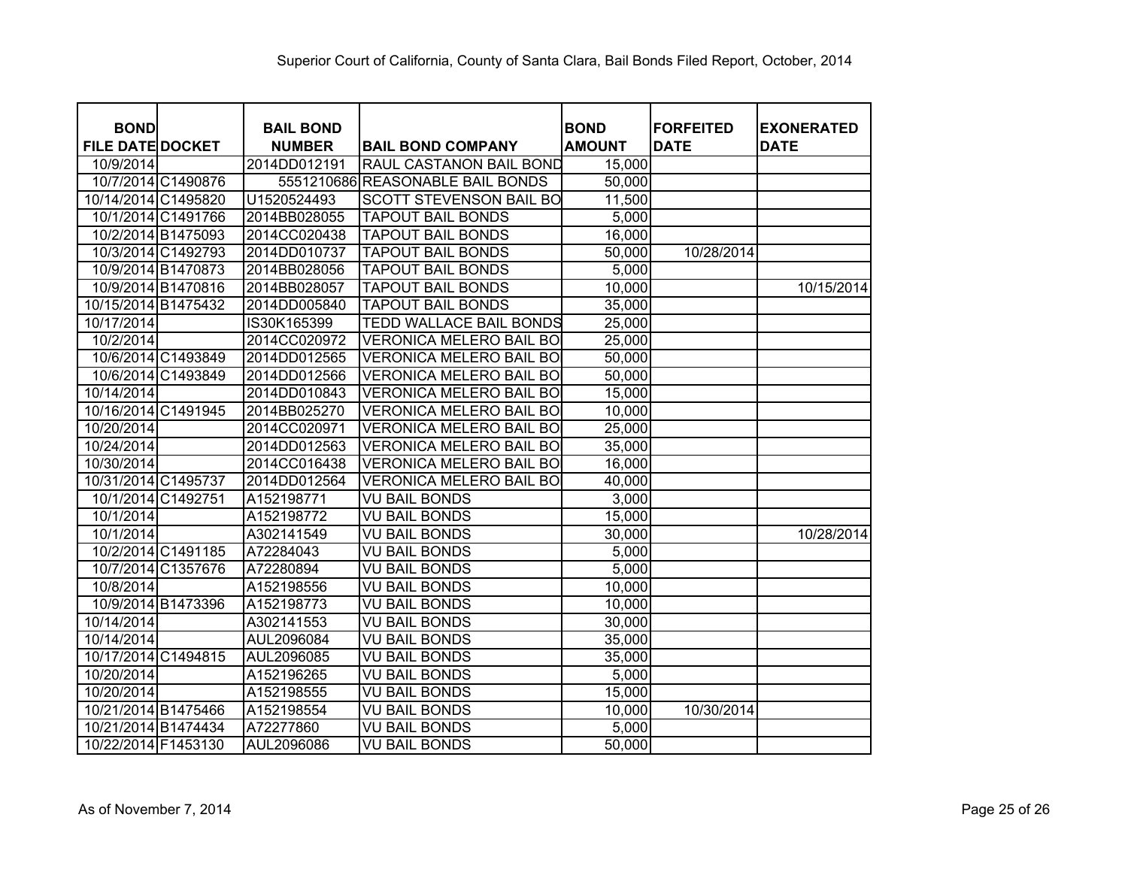| <b>BOND</b>             | <b>BAIL BOND</b> |                                  | <b>BOND</b>   | <b>FORFEITED</b> | <b>EXONERATED</b> |
|-------------------------|------------------|----------------------------------|---------------|------------------|-------------------|
| <b>FILE DATE DOCKET</b> | <b>NUMBER</b>    | <b>BAIL BOND COMPANY</b>         | <b>AMOUNT</b> | <b>DATE</b>      | <b>DATE</b>       |
| 10/9/2014               | 2014DD012191     | RAUL CASTANON BAIL BOND          | 15,000        |                  |                   |
| 10/7/2014 C1490876      |                  | 5551210686 REASONABLE BAIL BONDS | 50,000        |                  |                   |
| 10/14/2014 C1495820     | U1520524493      | <b>SCOTT STEVENSON BAIL BO</b>   | 11,500        |                  |                   |
| 10/1/2014 C1491766      | 2014BB028055     | <b>TAPOUT BAIL BONDS</b>         | 5,000         |                  |                   |
| 10/2/2014 B1475093      | 2014CC020438     | <b>TAPOUT BAIL BONDS</b>         | 16,000        |                  |                   |
| 10/3/2014 C1492793      | 2014DD010737     | <b>TAPOUT BAIL BONDS</b>         | 50,000        | 10/28/2014       |                   |
| 10/9/2014 B1470873      | 2014BB028056     | <b>TAPOUT BAIL BONDS</b>         | 5,000         |                  |                   |
| 10/9/2014 B1470816      | 2014BB028057     | <b>TAPOUT BAIL BONDS</b>         | 10,000        |                  | 10/15/2014        |
| 10/15/2014 B1475432     | 2014DD005840     | <b>TAPOUT BAIL BONDS</b>         | 35,000        |                  |                   |
| 10/17/2014              | IS30K165399      | TEDD WALLACE BAIL BONDS          | 25,000        |                  |                   |
| 10/2/2014               | 2014CC020972     | <b>VERONICA MELERO BAIL BO</b>   | 25,000        |                  |                   |
| 10/6/2014 C1493849      | 2014DD012565     | <b>VERONICA MELERO BAIL BO</b>   | 50,000        |                  |                   |
| 10/6/2014 C1493849      | 2014DD012566     | <b>VERONICA MELERO BAIL BO</b>   | 50,000        |                  |                   |
| 10/14/2014              | 2014DD010843     | <b>VERONICA MELERO BAIL BO</b>   | 15,000        |                  |                   |
| 10/16/2014 C1491945     | 2014BB025270     | <b>VERONICA MELERO BAIL BO</b>   | 10,000        |                  |                   |
| 10/20/2014              | 2014CC020971     | <b>VERONICA MELERO BAIL BO</b>   | 25,000        |                  |                   |
| 10/24/2014              | 2014DD012563     | <b>VERONICA MELERO BAIL BO</b>   | 35,000        |                  |                   |
| 10/30/2014              | 2014CC016438     | VERONICA MELERO BAIL BO          | 16,000        |                  |                   |
| 10/31/2014 C1495737     | 2014DD012564     | VERONICA MELERO BAIL BO          | 40,000        |                  |                   |
| 10/1/2014 C1492751      | A152198771       | <b>VU BAIL BONDS</b>             | 3,000         |                  |                   |
| 10/1/2014               | A152198772       | <b>VU BAIL BONDS</b>             | 15,000        |                  |                   |
| 10/1/2014               | A302141549       | <b>VU BAIL BONDS</b>             | 30,000        |                  | 10/28/2014        |
| 10/2/2014 C1491185      | A72284043        | <b>VU BAIL BONDS</b>             | 5,000         |                  |                   |
| 10/7/2014 C1357676      | A72280894        | <b>VU BAIL BONDS</b>             | 5,000         |                  |                   |
| 10/8/2014               | A152198556       | <b>VU BAIL BONDS</b>             | 10,000        |                  |                   |
| 10/9/2014 B1473396      | A152198773       | <b>VU BAIL BONDS</b>             | 10,000        |                  |                   |
| 10/14/2014              | A302141553       | <b>VU BAIL BONDS</b>             | 30,000        |                  |                   |
| 10/14/2014              | AUL2096084       | <b>VU BAIL BONDS</b>             | 35,000        |                  |                   |
| 10/17/2014 C1494815     | AUL2096085       | <b>VU BAIL BONDS</b>             | 35,000        |                  |                   |
| 10/20/2014              | A152196265       | <b>VU BAIL BONDS</b>             | 5,000         |                  |                   |
| 10/20/2014              | A152198555       | <b>VU BAIL BONDS</b>             | 15,000        |                  |                   |
| 10/21/2014 B1475466     | A152198554       | <b>VU BAIL BONDS</b>             | 10,000        | 10/30/2014       |                   |
| 10/21/2014 B1474434     | A72277860        | <b>VU BAIL BONDS</b>             | 5,000         |                  |                   |
| 10/22/2014 F1453130     | AUL2096086       | <b>VU BAIL BONDS</b>             | 50,000        |                  |                   |